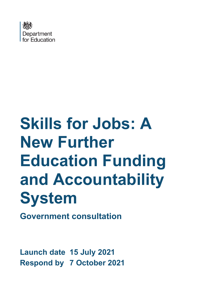

# **Skills for Jobs: A New Further Education Funding and Accountability System**

**Government consultation**

**Launch date 15 July 2021 Respond by 7 October 2021**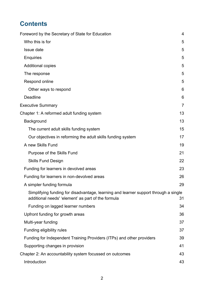# **Contents**

| Foreword by the Secretary of State for Education                                                                                          | $\overline{4}$ |
|-------------------------------------------------------------------------------------------------------------------------------------------|----------------|
| Who this is for                                                                                                                           | 5              |
| Issue date                                                                                                                                | 5              |
| <b>Enquiries</b>                                                                                                                          | 5              |
| <b>Additional copies</b>                                                                                                                  | 5              |
| The response                                                                                                                              | 5              |
| Respond online                                                                                                                            | 5              |
| Other ways to respond                                                                                                                     | 6              |
| <b>Deadline</b>                                                                                                                           | 6              |
| <b>Executive Summary</b>                                                                                                                  | $\overline{7}$ |
| Chapter 1: A reformed adult funding system                                                                                                | 13             |
| Background                                                                                                                                | 13             |
| The current adult skills funding system                                                                                                   | 15             |
| Our objectives in reforming the adult skills funding system                                                                               | 17             |
| A new Skills Fund                                                                                                                         | 19             |
| Purpose of the Skills Fund                                                                                                                | 21             |
| <b>Skills Fund Design</b>                                                                                                                 | 22             |
| Funding for learners in devolved areas                                                                                                    | 23             |
| Funding for learners in non-devolved areas                                                                                                | 26             |
| A simpler funding formula                                                                                                                 | 29             |
| Simplifying funding for disadvantage, learning and learner support through a single<br>additional needs' 'element' as part of the formula | 31             |
| Funding on lagged learner numbers                                                                                                         | 34             |
| Upfront funding for growth areas                                                                                                          | 36             |
| Multi-year funding                                                                                                                        | 37             |
| Funding eligibility rules                                                                                                                 | 37             |
| Funding for Independent Training Providers (ITPs) and other providers                                                                     | 39             |
| Supporting changes in provision                                                                                                           | 41             |
| Chapter 2: An accountability system focussed on outcomes                                                                                  | 43             |
| Introduction                                                                                                                              | 43             |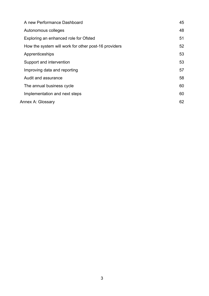| A new Performance Dashboard                          | 45 |  |  |  |
|------------------------------------------------------|----|--|--|--|
| Autonomous colleges                                  | 48 |  |  |  |
| Exploring an enhanced role for Ofsted                | 51 |  |  |  |
| How the system will work for other post-16 providers | 52 |  |  |  |
| Apprenticeships                                      | 53 |  |  |  |
| Support and intervention                             | 53 |  |  |  |
| Improving data and reporting                         | 57 |  |  |  |
| Audit and assurance                                  | 58 |  |  |  |
| The annual business cycle                            | 60 |  |  |  |
| Implementation and next steps                        | 60 |  |  |  |
| Annex A: Glossary                                    |    |  |  |  |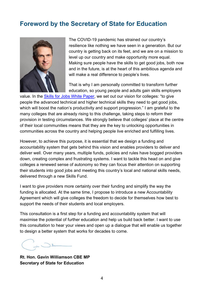# <span id="page-3-0"></span>**Foreword by the Secretary of State for Education**



The COVID-19 pandemic has strained our country's resilience like nothing we have seen in a generation. But our country is getting back on its feet, and we are on a mission to level up our country and make opportunity more equal. Making sure people have the skills to get good jobs, both now and in the future, is at the heart of this ambitious agenda and will make a real difference to people's lives.

That is why I am personally committed to transform further education, so young people and adults gain skills employers

value. In the [Skills for Jobs White Paper,](https://www.gov.uk/government/publications/skills-for-jobs-lifelong-learning-for-opportunity-and-growth) we set out our vision for colleges: "to give people the advanced technical and higher technical skills they need to get good jobs, which will boost the nation's productivity and support progression." I am grateful to the many colleges that are already rising to this challenge, taking steps to reform their provision in testing circumstances. We strongly believe that colleges' place at the centre of their local communities means that they are the key to unlocking opportunities in communities across the country and helping people live enriched and fulfilling lives.

However, to achieve this purpose, it is essential that we design a funding and accountability system that gets behind this vision and enables providers to deliver and deliver well. Over many years, multiple funds, policies and rules have bogged providers down, creating complex and frustrating systems. I want to tackle this head on and give colleges a renewed sense of autonomy so they can focus their attention on supporting their students into good jobs and meeting this country's local and national skills needs, delivered through a new Skills Fund.

I want to give providers more certainty over their funding and simplify the way the funding is allocated. At the same time, I propose to introduce a new Accountability Agreement which will give colleges the freedom to decide for themselves how best to support the needs of their students and local employers.

This consultation is a first step for a funding and accountability system that will maximise the potential of further education and help us build back better. I want to use this consultation to hear your views and open up a dialogue that will enable us together to design a better system that works for decades to come.

**Rt. Hon. Gavin Williamson CBE MP Secretary of State for Education**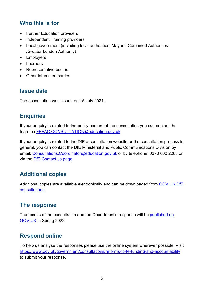# <span id="page-4-0"></span>**Who this is for**

- Further Education providers
- Independent Training providers
- Local government (including local authorities, Mayoral Combined Authorities /Greater London Authority)
- Employers
- Learners
- Representative bodies
- Other interested parties

# <span id="page-4-1"></span>**Issue date**

The consultation was issued on 15 July 2021.

# <span id="page-4-2"></span>**Enquiries**

If your enquiry is related to the policy content of the consultation you can contact the team on [FEFAC.CONSULTATION@education.gov.uk.](mailto:FEFAC.CONSULTATION@education.gov.uk)

If your enquiry is related to the DfE e-consultation website or the consultation process in general, you can contact the DfE Ministerial and Public Communications Division by email: Consultations. Coordinator@education.gov.uk or by telephone: 0370 000 2288 or via the [DfE Contact us page.](https://www.education.gov.uk/help/contactus)

# <span id="page-4-3"></span>**Additional copies**

Additional copies are available electronically and can be downloaded from [GOV.UK DfE](https://www.gov.uk/government/publications?keywords=&publication_filter_option=consultations&topics%5B%5D=all&departments%5B%5D=department-for-education&official_document_status=all&world_locations%5B%5D=all&from_date=&to_date=&commit=Refresh+results)  [consultations.](https://www.gov.uk/government/publications?keywords=&publication_filter_option=consultations&topics%5B%5D=all&departments%5B%5D=department-for-education&official_document_status=all&world_locations%5B%5D=all&from_date=&to_date=&commit=Refresh+results)

# <span id="page-4-4"></span>**The response**

The results of the consultation and the Department's response will be [published on](https://www.gov.uk/government/publications?departments%5B%5D=department-for-education&publication_filter_option=consultations)  [GOV.UK](https://www.gov.uk/government/publications?departments%5B%5D=department-for-education&publication_filter_option=consultations) in Spring 2022.

# <span id="page-4-5"></span>**Respond online**

To help us analyse the responses please use the online system wherever possible. Visit <https://www.gov.uk/government/consultations/reforms-to-fe-funding-and-accountability> to submit your response.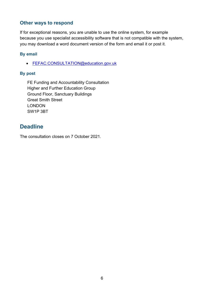#### <span id="page-5-0"></span>**Other ways to respond**

If for exceptional reasons, you are unable to use the online system, for example because you use specialist accessibility software that is not compatible with the system, you may download a word document version of the form and email it or post it.

#### **By email**

• FEFAC.CONSULTATION@education.gov.uk

#### **By post**

FE Funding and Accountability Consultation Higher and Further Education Group Ground Floor, Sanctuary Buildings Great Smith Street LONDON SW1P 3BT

# <span id="page-5-1"></span>**Deadline**

The consultation closes on 7 October 2021.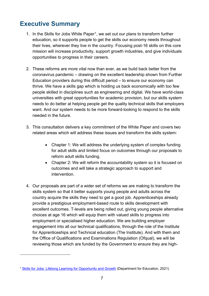# <span id="page-6-0"></span>**Executive Summary**

- [1](#page-6-1). In the Skills for Jobs White Paper<sup>1</sup>, we set out our plans to transform further education, so it supports people to get the skills our economy needs throughout their lives, wherever they live in the country. Focusing post-16 skills on this core mission will increase productivity, support growth industries, and give individuals opportunities to progress in their careers.
- 2. These reforms are more vital now than ever, as we build back better from the coronavirus pandemic – drawing on the excellent leadership shown from Further Education providers during this difficult period – to ensure our economy can thrive. We have a skills gap which is holding us back economically with too few people skilled in disciplines such as engineering and digital. We have world-class universities with great opportunities for academic provision, but our skills system needs to do better at helping people get the quality technical skills that employers want. And our system needs to be more forward-looking to respond to the skills needed in the future.
- 3. This consultation delivers a key commitment of the White Paper and covers two related areas which will address these issues and transform the skills system:
	- Chapter 1: We will address the underlying system of complex funding for adult skills and limited focus on outcomes through our proposals to reform adult skills funding.
	- Chapter 2: We will reform the accountability system so it is focused on outcomes and will take a strategic approach to support and intervention.
- 4. Our proposals are part of a wider set of reforms we are making to transform the skills system so that it better supports young people and adults across the country acquire the skills they need to get a good job. Apprenticeships already provide a prestigious employment-based route to skills development with excellent outcomes. T-levels are being rolled out, giving young people alternative choices at age 16 which will equip them with valued skills to progress into employment or specialised higher education. We are building employer engagement into all our technical qualifications, through the role of the Institute for Apprenticeships and Technical education (The Institute). And with them and the Office of Qualifications and Examinations Regulation (Ofqual), we will be reviewing those which are funded by the Government to ensure they are high-

<span id="page-6-1"></span><sup>1</sup> [Skills for Jobs: Lifelong Learning for Opportunity and Growth](https://assets.publishing.service.gov.uk/government/uploads/system/uploads/attachment_data/file/957856/Skills_for_jobs_lifelong_learning_for_opportunity_and_growth__web_version_.pdf) (Department for Education, 2021)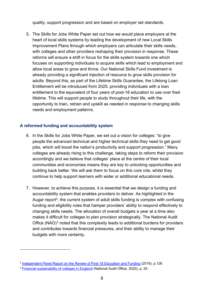quality, support progression and are based on employer set standards.

5. The Skills for Jobs White Paper set out how we would place employers at the heart of local skills systems by leading the development of new Local Skills Improvement Plans through which employers can articulate their skills needs, with colleges and other providers reshaping their provision in response. These reforms will ensure a shift in focus for the skills system towards one which focuses on supporting individuals to acquire skills which lead to employment and allow local areas to grow and thrive. Our National Skills Fund investment is already providing a significant injection of resource to grow skills provision for adults. Beyond this, as part of the Lifetime Skills Guarantee, the Lifelong Loan Entitlement will be introduced from 2025, providing individuals with a loan entitlement to the equivalent of four years of post-18 education to use over their lifetime. This will support people to study throughout their life, with the opportunity to train, retrain and upskill as needed in response to changing skills needs and employment patterns.

#### **A reformed funding and accountability system**

- 6. In the Skills for Jobs White Paper, we set out a vision for colleges: "to give people the advanced technical and higher technical skills they need to get good jobs, which will boost the nation's productivity and support progression." Many colleges are already rising to this challenge, taking steps to reform their provision accordingly and we believe that colleges' place at the centre of their local communities and economies means they are key to unlocking opportunities and building back better. We will ask them to focus on this core role, whilst they continue to help support learners with wider or additional educational needs.
- 7. However, to achieve this purpose, it is essential that we design a funding and accountability system that enables providers to deliver. As highlighted in the Augar report<sup>[2](#page-7-0)</sup>, the current system of adult skills funding is complex with confusing funding and eligibility rules that hamper providers' ability to respond effectively to changing skills needs. The allocation of overall budgets a year at a time also makes it difficult for colleges to plan provision strategically. The National Audit Office  $(NAO)^3$  $(NAO)^3$  noted that this complexity leads to additional burdens for providers and contributes towards financial pressures, and their ability to manage their budgets with more certainty.

<span id="page-7-0"></span><sup>2</sup> [Independent Panel Report on the Review of Post-18 Education and Funding](https://assets.publishing.service.gov.uk/government/uploads/system/uploads/attachment_data/file/805127/Review_of_post_18_education_and_funding.pdf) (2019), p.126

<span id="page-7-1"></span><sup>3</sup> [Financial sustainability of colleges in England](https://www.nao.org.uk/wp-content/uploads/2020/09/Financial-sustainability-of-colleges-in-England.pdf) (National Audit Office, 2020), p. 25.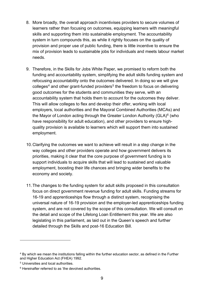- 8. More broadly, the overall approach incentivises providers to secure volumes of learners rather than focusing on outcomes, equipping learners with meaningful skills and supporting them into sustainable employment. The accountability system in turn compounds this, as while it rightly focuses on the quality of provision and proper use of public funding, there is little incentive to ensure the mix of provision leads to sustainable jobs for individuals and meets labour market needs.
- 9. Therefore, in the Skills for Jobs White Paper, we promised to reform both the funding and accountability system, simplifying the adult skills funding system and refocusing accountability onto the outcomes delivered. In doing so we will give  $colleges<sup>4</sup>$  $colleges<sup>4</sup>$  $colleges<sup>4</sup>$  and other grant-funded providers<sup>[5](#page-8-1)</sup> the freedom to focus on delivering good outcomes for the students and communities they serve, with an accountability system that holds them to account for the outcomes they deliver. This will allow colleges to flex and develop their offer, working with local employers, local authorities and the Mayoral Combined Authorities (MCAs) and the Mayor of London acting through the Greater London Authority (GLA)<sup>[6](#page-8-2)</sup> (who have responsibility for adult education), and other providers to ensure highquality provision is available to learners which will support them into sustained employment.
- 10.Clarifying the outcomes we want to achieve will result in a step change in the way colleges and other providers operate and how government delivers its priorities, making it clear that the core purpose of government funding is to support individuals to acquire skills that will lead to sustained and valuable employment, boosting their life chances and bringing wider benefits to the economy and society.
- 11.The changes to the funding system for adult skills proposed in this consultation focus on direct government revenue funding for adult skills. Funding streams for 16-19 and apprenticeships flow through a distinct system, recognising the universal nature of 16-19 provision and the employer-led apprenticeships funding system, and are not covered by the scope of this consultation. We will consult on the detail and scope of the Lifelong Loan Entitlement this year. We are also legislating in this parliament, as laid out in the Queen's speech and further detailed through the Skills and post-16 Education Bill.

<span id="page-8-0"></span><sup>4</sup> By which we mean the institutions falling within the further education sector, as defined in the Further and Higher Education Act (FHEA) 1992.

<span id="page-8-1"></span><sup>5</sup> Universities and local authorities.

<span id="page-8-2"></span> $6$  Hereinafter referred to as 'the devolved authorities.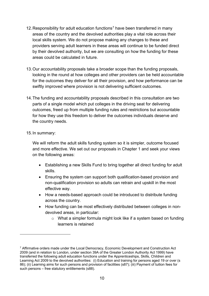- 12. Responsibility for adult education functions<sup>[7](#page-9-0)</sup> have been transferred in many areas of the country and the devolved authorities play a vital role across their local skills system. We do not propose making any changes to these and providers serving adult learners in these areas will continue to be funded direct by their devolved authority, but we are consulting on how the funding for these areas could be calculated in future.
- 13.Our accountability proposals take a broader scope than the funding proposals, looking in the round at how colleges and other providers can be held accountable for the outcomes they deliver for all their provision, and how performance can be swiftly improved where provision is not delivering sufficient outcomes.
- 14.The funding and accountability proposals described in this consultation are two parts of a single model which put colleges in the driving seat for delivering outcomes, freed up from multiple funding rules and restrictions but accountable for how they use this freedom to deliver the outcomes individuals deserve and the country needs.

#### 15.In summary:

We will reform the adult skills funding system so it is simpler, outcome focused and more effective. We set out our proposals in Chapter 1 and seek your views on the following areas:

- Establishing a new Skills Fund to bring together all direct funding for adult skills.
- Ensuring the system can support both qualification-based provision and non-qualification provision so adults can retrain and upskill in the most effective way.
- How a needs-based approach could be introduced to distribute funding across the country.
- How funding can be most effectively distributed between colleges in nondevolved areas, in particular:
	- o What a simpler formula might look like if a system based on funding learners is retained

<span id="page-9-0"></span> $7$  Affirmative orders made under the Local Democracy, Economic Development and Construction Act 2009 (and in relation to London, under section 39A of the Greater London Authority Act 1999) have transferred the following adult education functions under the Apprenticeships, Skills, Children and Learning Act 2009 to the devolved authorities: (i) Education and training for persons aged 19 or over (s 86); (ii) Learning aims for such persons and provision of facilities (s87); (iii) Payment of tuition fees for such persons – free statutory entitlements (s88).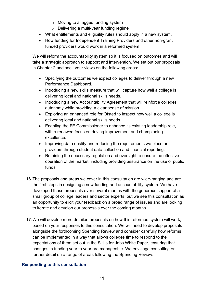- o Moving to a lagged funding system
- o Delivering a multi-year funding regime
- What entitlements and eligibility rules should apply in a new system.
- How funding for Independent Training Providers and other non-grant funded providers would work in a reformed system.

We will reform the accountability system so it is focused on outcomes and will take a strategic approach to support and intervention. We set out our proposals in Chapter 2 and seek your views on the following areas:

- Specifying the outcomes we expect colleges to deliver through a new Performance Dashboard.
- Introducing a new skills measure that will capture how well a college is delivering local and national skills needs.
- Introducing a new Accountability Agreement that will reinforce colleges autonomy while providing a clear sense of mission.
- Exploring an enhanced role for Ofsted to inspect how well a college is delivering local and national skills needs.
- Enabling the FE Commissioner to enhance its existing leadership role, with a renewed focus on driving improvement and championing excellence.
- Improving data quality and reducing the requirements we place on providers through student data collection and financial reporting.
- Retaining the necessary regulation and oversight to ensure the effective operation of the market, including providing assurance on the use of public funds.
- 16.The proposals and areas we cover in this consultation are wide-ranging and are the first steps in designing a new funding and accountability system. We have developed these proposals over several months with the generous support of a small group of college leaders and sector experts, but we see this consultation as an opportunity to elicit your feedback on a broad range of issues and are looking to iterate and develop our proposals over the coming months.
- 17.We will develop more detailed proposals on how this reformed system will work, based on your responses to this consultation. We will need to develop proposals alongside the forthcoming Spending Review and consider carefully how reforms can be implemented in a way that allows colleges time to respond to the expectations of them set out in the Skills for Jobs White Paper, ensuring that changes in funding year to year are manageable. We envisage consulting on further detail on a range of areas following the Spending Review.

#### **Responding to this consultation**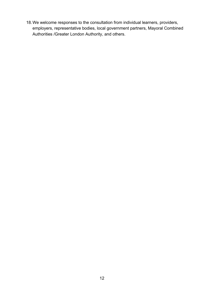18.We welcome responses to the consultation from individual learners, providers, employers, representative bodies, local government partners, Mayoral Combined Authorities /Greater London Authority, and others.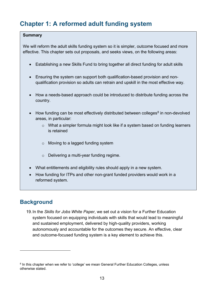# <span id="page-12-0"></span>**Chapter 1: A reformed adult funding system**

#### **Summary**

We will reform the adult skills funding system so it is simpler, outcome focused and more effective. This chapter sets out proposals, and seeks views, on the following areas:

- Establishing a new Skills Fund to bring together all direct funding for adult skills
- Ensuring the system can support both qualification-based provision and nonqualification provision so adults can retrain and upskill in the most effective way.
- How a needs-based approach could be introduced to distribute funding across the country.
- How funding can be most effectively distributed between colleges<sup>[8](#page-12-2)</sup> in non-devolved areas, in particular:
	- o What a simpler formula might look like if a system based on funding learners is retained
	- o Moving to a lagged funding system
	- o Delivering a multi-year funding regime.
- What entitlements and eligibility rules should apply in a new system.
- How funding for ITPs and other non-grant funded providers would work in a reformed system.

# <span id="page-12-1"></span>**Background**

19.In the *Skills for Jobs White Paper*, we set out a vision for a Further Education system focused on equipping individuals with skills that would lead to meaningful and sustained employment, delivered by high-quality providers, working autonomously and accountable for the outcomes they secure. An effective, clear and outcome-focused funding system is a key element to achieve this.

<span id="page-12-2"></span><sup>&</sup>lt;sup>8</sup> In this chapter when we refer to 'college' we mean General Further Education Colleges, unless otherwise stated.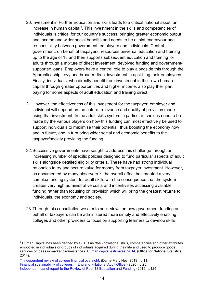- 20.Investment in Further Education and skills leads to a critical national asset: an increase in human capital<sup>9</sup>. This investment in the skills and competencies of individuals is critical for our country's success, bringing greater economic output and income and wider social benefits and needs to be a joint endeavour and responsibility between government, employers and individuals. Central government, on behalf of taxpayers, resources universal education and training up to the age of 18 and then supports subsequent education and training for adults through a mixture of direct investment, devolved funding and governmentsupported loans. Employers have a central role to play alongside this through the Apprenticeship Levy and broader direct investment in upskilling their employees. Finally, individuals, who directly benefit from investment in their own human capital through greater opportunities and higher income, also play their part, paying for some aspects of adult education and training direct.
- 21.However, the effectiveness of this investment for the taxpayer, employer and individual will depend on the nature, relevance and quality of provision made using that investment. In the adult skills system in particular, choices need to be made by the various players on how this funding can most effectively be used to support individuals to maximise their potential, thus boosting the economy now and in future, and in turn bring wider social and economic benefits to the taxpayer/society providing the funding.
- 22.Successive governments have sought to address this challenge through an increasing number of specific policies designed to fund particular aspects of adult skills alongside detailed eligibility criteria. These have had strong individual rationales to try and secure value for money from taxpayer investment. However, as documented by many observers<sup>10</sup>, the overall effect has created a very complex funding system for adult skills with the consequence that the system creates very high administrative costs and incentivises accessing available funding rather than focusing on provision which will bring the greatest returns to individuals, the economy and society.
- 23.Through this consultation we aim to seek views on how government funding on behalf of taxpayers can be administered more simply and effectively enabling colleges and other providers to focus on supporting learners to develop skills,

<span id="page-13-0"></span><sup>9</sup> Human Capital has been defined by OECD as "the knowledge, skills, competencies and other attributes embodied in individuals or groups of individuals acquired during their life and used to produce goods, services or ideas in market circumstances. [Human capital estimates: 2014,](https://www.ons.gov.uk/peoplepopulationandcommunity/wellbeing/articles/humancapitalestimates/2015-08-25#:%7E:text=The%20OECD%20defines%20Human%20capital,or%20ideas%20in%20market%20circumstances%E2%80%9D.) (Office for National Statistics, 2014).

<span id="page-13-1"></span><sup>&</sup>lt;sup>10</sup> [Independent review of college financial oversight,](https://assets.publishing.service.gov.uk/government/uploads/system/uploads/attachment_data/file/900210/DfE_Independent_Review_of_Financial_Oversight_of_FE_Colleges.pdf) (Dame Mary Ney, 2019), p.11. [Financial sustainability of colleges in England, \(National Audit Office,](https://www.nao.org.uk/wp-content/uploads/2020/09/Financial-sustainability-of-colleges-in-England.pdf) (2020), p.25. [Independent panel report to the Review of Post-18 Education and Funding](https://assets.publishing.service.gov.uk/government/uploads/system/uploads/attachment_data/file/805127/Review_of_post_18_education_and_funding.pdf) (2019), p125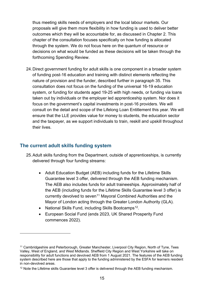thus meeting skills needs of employers and the local labour markets. Our proposals will give them more flexibility in how funding is used to deliver better outcomes which they will be accountable for, as discussed in Chapter 2. This chapter of the consultation focuses specifically on how funding is allocated through the system. We do not focus here on the quantum of resource or decisions on what would be funded as these decisions will be taken through the forthcoming Spending Review.

24.Direct government funding for adult skills is one component in a broader system of funding post-16 education and training with distinct elements reflecting the nature of provision and the funder, described further in paragraph 35. This consultation does not focus on the funding of the universal 16-19 education system, or funding for students aged 19-25 with high needs, or funding via loans taken out by individuals or the employer led apprenticeship system. Nor does it focus on the government's capital investments in post-16 providers. We will consult on the detail and scope of the Lifelong Loan Entitlement this year. We will ensure that the LLE provides value for money to students, the education sector and the taxpayer, as we support individuals to train, reskill and upskill throughout their lives.

#### <span id="page-14-0"></span>**The current adult skills funding system**

- 25.Adult skills funding from the Department, outside of apprenticeships, is currently delivered through four funding streams:
	- Adult Education Budget (AEB) including funds for the Lifetime Skills Guarantee level 3 offer, delivered through the AEB funding mechanism. The AEB also includes funds for adult traineeships. Approximately half of the AEB (including funds for the Lifetime Skills Guarantee level 3 offer) is currently devolved to seven<sup>[11](#page-14-1)</sup> Mayoral Combined Authorities and the Mayor of London acting through the Greater London Authority (GLA).
	- National Skills Fund, including Skills Bootcamps<sup>12</sup>.
	- European Social Fund (ends 2023, UK Shared Prosperity Fund commences 2022).

<span id="page-14-1"></span><sup>&</sup>lt;sup>11</sup> Cambridgeshire and Peterborough, Greater Manchester, Liverpool City Region, North of Tyne, Tees Valley, West of England, and West Midlands. Sheffield City Region and West Yorkshire will take on responsibility for adult functions and devolved AEB from 1 August 2021. The features of the AEB funding system described here are those that apply to the funding administered by the ESFA for learners resident in non-devolved areas.

<span id="page-14-2"></span> $12$  Note the Lifetime skills Guarantee level 3 offer is delivered through the AEB funding mechanism.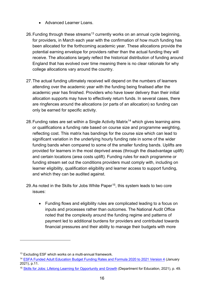- Advanced Learner Loans.
- 26. Funding through these streams<sup>[13](#page-15-0)</sup> currently works on an annual cycle beginning, for providers, in March each year with the confirmation of how much funding has been allocated for the forthcoming academic year. These allocations provide the potential earning envelope for providers rather than the actual funding they will receive. The allocations largely reflect the historical distribution of funding around England that has evolved over time meaning there is no clear rationale for why college allocations vary around the country.
- 27.The actual funding ultimately received will depend on the numbers of learners attending over the academic year with the funding being finalised after the academic year has finished. Providers who have lower delivery than their initial allocation supports may have to effectively return funds. In several cases, there are ringfences around the allocations (or parts of an allocation) so funding can only be earned for specific activity.
- 28. Funding rates are set within a Single Activity Matrix<sup>[14](#page-15-1)</sup> which gives learning aims or qualifications a funding rate based on course size and programme weighting, reflecting cost. This matrix has bandings for the course size which can lead to significant variation in the underlying hourly funding rate in some of the wider funding bands when compared to some of the smaller funding bands. Uplifts are provided for learners in the most deprived areas (through the disadvantage uplift) and certain locations (area costs uplift). Funding rules for each programme or funding stream set out the conditions providers must comply with, including on learner eligibility, qualification eligibility and learner access to support funding, and which they can be audited against.
- 29. As noted in the Skills for Jobs White Paper<sup>15</sup>, this system leads to two core issues:
	- Funding flows and eligibility rules are complicated leading to a focus on inputs and processes rather than outcomes. The National Audit Office noted that the complexity around the funding regime and patterns of payment led to additional burdens for providers and contributed towards financial pressures and their ability to manage their budgets with more

<span id="page-15-0"></span><sup>13</sup> Excluding ESF which works on a multi-annual framework.

<span id="page-15-1"></span><sup>14</sup> [ESFA Funded Adult Education Budget Funding Rates and Formula 2020 to 2021 Version 4](https://assets.publishing.service.gov.uk/government/uploads/system/uploads/attachment_data/file/956690/ESFA_Funded_Adult_Education_Budget_Funding_rates_and_formula_2020_to_2021_v4.pdf) (January 2021), p.11.

<span id="page-15-2"></span><sup>&</sup>lt;sup>15</sup> [Skills for Jobs: Lifelong Learning for Opportunity and Growth](https://assets.publishing.service.gov.uk/government/uploads/system/uploads/attachment_data/file/957856/Skills_for_jobs_lifelong_learning_for_opportunity_and_growth__web_version_.pdf) (Department for Education, 2021), p. 49.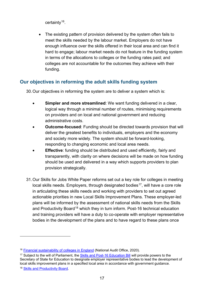certainty[16](#page-16-1).

The existing pattern of provision delivered by the system often fails to meet the skills needed by the labour market. Employers do not have enough influence over the skills offered in their local area and can find it hard to engage; labour market needs do not feature in the funding system in terms of the allocations to colleges or the funding rates paid; and colleges are not accountable for the outcomes they achieve with their funding.

#### <span id="page-16-0"></span>**Our objectives in reforming the adult skills funding system**

30.Our objectives in reforming the system are to deliver a system which is:

- **Simpler and more streamlined:** We want funding delivered in a clear, logical way through a minimal number of routes, minimising requirements on providers and on local and national government and reducing administrative costs.
- **Outcome-focused**: Funding should be directed towards provision that will deliver the greatest benefits to individuals, employers and the economy and society more widely. The system should be forward-looking, responding to changing economic and local area needs.
- **Effective:** funding should be distributed and used efficiently, fairly and transparently, with clarity on where decisions will be made on how funding should be used and delivered in a way which supports providers to plan provision strategically.
- 31.Our Skills for Jobs White Paper reforms set out a key role for colleges in meeting local skills needs. Employers, through designated bodies<sup>17</sup>, will have a core role in articulating these skills needs and working with providers to set out agreed actionable priorities in new Local Skills Improvement Plans. These employer-led plans will be informed by the assessment of national skills needs from the Skills and Productivity Board<sup>[18](#page-16-3)</sup> which they in turn inform. Post-16 technical education and training providers will have a duty to co-operate with employer representative bodies in the development of the plans and to have regard to these plans once

<span id="page-16-1"></span><sup>&</sup>lt;sup>16</sup> [Financial sustainability of colleges in England](https://www.nao.org.uk/wp-content/uploads/2020/09/Financial-sustainability-of-colleges-in-England.pdf) (National Audit Office, 2020).

<span id="page-16-2"></span><sup>&</sup>lt;sup>17</sup> Subject to the will of Parliament, the [Skills and Post-16 Education Bill](https://assets.publishing.service.gov.uk/government/uploads/system/uploads/attachment_data/file/988605/Skills_and_Post-16_Education_Bill_-_Summary_Policy_Notes.pdf) will provide powers to the Secretary of State for Education to designate employer representative bodies to lead the development of local skills improvement plans in a specified local area in accordance with government guidance.

<span id="page-16-3"></span><sup>18</sup> [Skills and Productivity Board.](https://www.gov.uk/government/groups/skills-and-productivity-board)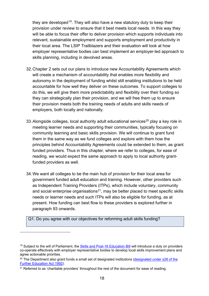they are developed<sup>[19](#page-17-0)</sup>. They will also have a new statutory duty to keep their provision under review to ensure that it best meets local needs. In this way they will be able to focus their offer to deliver provision which supports individuals into relevant, sustainable employment and supports employment and productivity in their local area. The LSIP Trailblazers and their evaluation will look at how employer representative bodies can best implement an employer-led approach to skills planning, including in devolved areas.

- 32.Chapter 2 sets out our plans to introduce new Accountability Agreements which will create a mechanism of accountability that enables more flexibility and autonomy in the deployment of funding whilst still enabling institutions to be held accountable for how well they deliver on these outcomes. To support colleges to do this, we will give them more predictability and flexibility over their funding so they can strategically plan their provision, and we will free them up to ensure their provision meets both the training needs of adults and skills needs of employers, both locally and nationally.
- 33. Alongside colleges, local authority adult educational services<sup>[20](#page-17-1)</sup> play a key role in meeting learner needs and supporting their communities, typically focusing on community learning and basic skills provision. We will continue to grant fund them in the same way as we fund colleges and explore with them how the principles behind Accountability Agreements could be extended to them, as grant funded providers. Thus in this chapter, where we refer to colleges, for ease of reading, we would expect the same approach to apply to local authority grantfunded providers as well.
- 34.We want all colleges to be the main hub of provision for their local area for government funded adult education and training. However, other providers such as Independent Training Providers (ITPs), which include voluntary, community and social enterprise organisations<sup>21</sup>, may be better placed to meet specific skills needs or learner needs and such ITPs will also be eligible for funding, as at present. How funding can best flow to these providers is explored further in paragraph 93 onwards.

Q1. Do you agree with our objectives for reforming adult skills funding?

<span id="page-17-0"></span><sup>&</sup>lt;sup>19</sup> Subject to the will of Parliament, the [Skills and Post-16 Education Bill](https://assets.publishing.service.gov.uk/government/uploads/system/uploads/attachment_data/file/988605/Skills_and_Post-16_Education_Bill_-_Summary_Policy_Notes.pdf) will introduce a duty on providers co-operate effectively with employer representative bodies to develop local skills improvement plans and agree actionable priorities.

<span id="page-17-1"></span><sup>&</sup>lt;sup>20</sup> The Department also grant funds a small set of designated institutions (designated under s28 of the [Further Education Act 1992\)](https://www.legislation.gov.uk/ukpga/1992/13/section/28).

<span id="page-17-2"></span><sup>&</sup>lt;sup>21</sup> Referred to as 'charitable providers' throughout the rest of the document for ease of reading.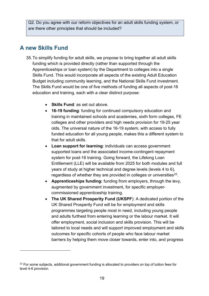Q2. Do you agree with our reform objectives for an adult skills funding system, or are there other principles that should be included?

# <span id="page-18-0"></span>**A new Skills Fund**

- 35.To simplify funding for adult skills, we propose to bring together all adult skills funding which is provided directly (rather than supported through the Apprenticeships or loan system) by the Department to colleges into a single Skills Fund. This would incorporate all aspects of the existing Adult Education Budget including community learning, and the National Skills Fund investment. The Skills Fund would be one of five methods of funding all aspects of post-16 education and training, each with a clear distinct purpose:
	- **Skills Fund**: as set out above.
	- **16-19 funding**: funding for continued compulsory education and training in maintained schools and academies, sixth form colleges, FE colleges and other providers and high needs provision for 19-25 year olds. The universal nature of the 16-19 system, with access to fully funded education for all young people, makes this a different system to that for adult skills.
	- **Loan support for learning**: individuals can access government supported loans and the associated income-contingent repayment system for post-16 training. Going forward, the Lifelong Loan Entitlement (LLE) will be available from 2025 for both modules and full years of study at higher technical and degree levels (levels 4 to 6), regardless of whether they are provided in colleges or universities<sup>22</sup>.
	- **Apprenticeships funding:** funding from employers, through the levy, augmented by government investment, for specific employercommissioned apprenticeship training.
	- **The UK Shared Prosperity Fund (UKSPF**): A dedicated portion of the UK Shared Prosperity Fund will be for employment and skills programmes targeting people most in need, including young people and adults furthest from entering learning or the labour market. It will offer employment, social inclusion and skills provision. This will be tailored to local needs and will support improved employment and skills outcomes for specific cohorts of people who face labour market barriers by helping them move closer towards, enter into, and progress

<span id="page-18-1"></span> $22$  For some subjects, additional government funding is allocated to providers on top of tuition fees for level 4-6 provision.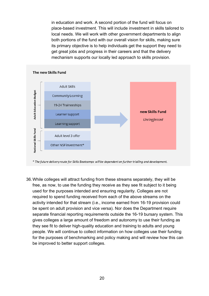in education and work. A second portion of the fund will focus on place-based investment. This will include investment in skills tailored to local needs. We will work with other government departments to align both portions of the fund with our overall vision for skills, making sure its primary objective is to help individuals get the support they need to get great jobs and progress in their careers and that the delivery mechanism supports our locally led approach to skills provision.



\* The future delivery route for Skills Bootcamps will be dependent on further trialling and development.

36.While colleges will attract funding from these streams separately, they will be free, as now, to use the funding they receive as they see fit subject to it being used for the purposes intended and ensuring regularity. Colleges are not required to spend funding received from each of the above streams on the activity intended for that stream (i.e., income earned from 16-19 provision could be spent on adult provision and vice versa). Nor does the Department require separate financial reporting requirements outside the 16-19 bursary system. This gives colleges a large amount of freedom and autonomy to use their funding as they see fit to deliver high-quality education and training to adults and young people. We will continue to collect information on how colleges use their funding for the purposes of benchmarking and policy making and will review how this can be improved to better support colleges.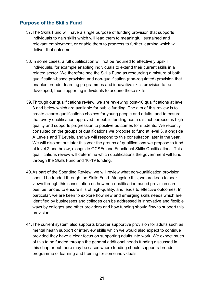#### <span id="page-20-0"></span>**Purpose of the Skills Fund**

- 37.The Skills Fund will have a single purpose of funding provision that supports individuals to gain skills which will lead them to meaningful, sustained and relevant employment, or enable them to progress to further learning which will deliver that outcome.
- 38.In some cases, a full qualification will not be required to effectively upskill individuals, for example enabling individuals to extend their current skills in a related sector. We therefore see the Skills Fund as resourcing a mixture of both qualification-based provision and non-qualification (non-regulated) provision that enables broader learning programmes and innovative skills provision to be developed, thus supporting individuals to acquire these skills.
- 39.Through our qualifications review, we are reviewing post-16 qualifications at level 3 and below which are available for public funding. The aim of this review is to create clearer qualifications choices for young people and adults, and to ensure that every qualification approved for public funding has a distinct purpose, is high quality and supports progression to positive outcomes for students. We recently consulted on the groups of qualifications we propose to fund at level 3, alongside A Levels and T Levels, and we will respond to this consultation later in the year. We will also set out later this year the groups of qualifications we propose to fund at level 2 and below, alongside GCSEs and Functional Skills Qualifications. This qualifications review will determine which qualifications the government will fund through the Skills Fund and 16-19 funding.
- 40.As part of the Spending Review, we will review what non-qualification provision should be funded through the Skills Fund. Alongside this, we are keen to seek views through this consultation on how non-qualification based provision can best be funded to ensure it is of high-quality, and leads to effective outcomes. In particular, we are keen to explore how new and emerging skills needs which are identified by businesses and colleges can be addressed in innovative and flexible ways by colleges and other providers and how funding should flow to support this provision.
- 41.The current system also supports broader supportive provision for adults such as mental health support or interview skills which we would also expect to continue provided they have a clear focus on supporting adults into work. We expect much of this to be funded through the general additional needs funding discussed in this chapter but there may be cases where funding should support a broader programme of learning and training for some individuals.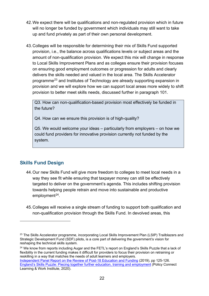- 42.We expect there will be qualifications and non-regulated provision which in future will no longer be funded by government which individuals may still want to take up and fund privately as part of their own personal development.
- 43.Colleges will be responsible for determining their mix of Skills Fund supported provision, i.e., the balance across qualifications levels or subject areas and the amount of non-qualification provision. We expect this mix will change in response to Local Skills Improvement Plans and as colleges ensure their provision focuses on ensuring good employment outcomes or progression for adults and clearly delivers the skills needed and valued in the local area. The Skills Accelerator programme<sup>[23](#page-21-1)</sup> and Institutes of Technology are already supporting expansion in provision and we will explore how we can support local areas more widely to shift provision to better meet skills needs, discussed further in paragraph 101.

Q3. How can non-qualification-based provision most effectively be funded in the future?

Q4. How can we ensure this provision is of high-quality?

Q5. We would welcome your ideas – particularly from employers – on how we could fund providers for innovative provision currently not funded by the system.

#### <span id="page-21-0"></span>**Skills Fund Design**

- 44.Our new Skills Fund will give more freedom to colleges to meet local needs in a way they see fit while ensuring that taxpayer money can still be effectively targeted to deliver on the government's agenda. This includes shifting provision towards helping people retrain and move into sustainable and productive employment $24$ .
- 45.Colleges will receive a single stream of funding to support both qualification and non-qualification provision through the Skills Fund. In devolved areas, this

<span id="page-21-2"></span><sup>24</sup> We know from reports including Augar and the FETL's report on England's Skills Puzzle that a lack of flexibility in the current funding makes it difficult for providers to focus their provision on retraining or reskilling in a way that matches the needs of adult learners and employers.

<span id="page-21-1"></span><sup>&</sup>lt;sup>23</sup> The Skills Accelerator programme, incorporating Local Skills Improvement Plan (LSIP) Trailblazers and Strategic Development Fund (SDF) pilots, is a core part of delivering the government's vision for reshaping the technical skills system.

[Independent Panel Report on the Review of Post-18 Education and Funding](https://assets.publishing.service.gov.uk/government/uploads/system/uploads/attachment_data/file/805127/Review_of_post_18_education_and_funding.pdf) (2019), pp 125-126. [England's Skills Puzzle: Piecing together further education, training and employment](https://fetl.org.uk/publications/englands-skills-puzzle-piecing-together-further-education-training-and-employment/) (Policy Connect Learning & Work Institute, 2020).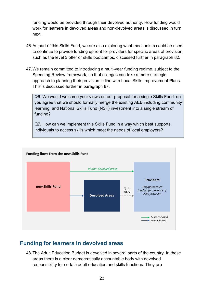funding would be provided through their devolved authority. How funding would work for learners in devolved areas and non-devolved areas is discussed in turn next.

- 46.As part of this Skills Fund, we are also exploring what mechanism could be used to continue to provide funding upfront for providers for specific areas of provision such as the level 3 offer or skills bootcamps, discussed further in paragraph 82.
- 47.We remain committed to introducing a multi-year funding regime, subject to the Spending Review framework, so that colleges can take a more strategic approach to planning their provision in line with Local Skills Improvement Plans. This is discussed further in paragraph 87.

Q6. We would welcome your views on our proposal for a single Skills Fund: do you agree that we should formally merge the existing AEB including community learning, and National Skills Fund (NSF) investment into a single stream of funding?

Q7. How can we implement this Skills Fund in a way which best supports individuals to access skills which meet the needs of local employers?



## <span id="page-22-0"></span>**Funding for learners in devolved areas**

48.The Adult Education Budget is devolved in several parts of the country. In these areas there is a clear democratically accountable body with devolved responsibility for certain adult education and skills functions. They are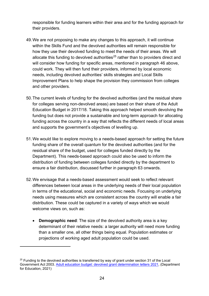responsible for funding learners within their area and for the funding approach for their providers.

- 49.We are not proposing to make any changes to this approach, it will continue within the Skills Fund and the devolved authorities will remain responsible for how they use their devolved funding to meet the needs of their areas. We will allocate this funding to devolved authorities $25$  rather than to providers direct and will consider how funding for specific areas, mentioned in paragraph 46 above, could work. They will then fund their providers, informed by local economic needs, including devolved authorities' skills strategies and Local Skills Improvement Plans to help shape the provision they commission from colleges and other providers.
- 50.The current levels of funding for the devolved authorities (and the residual share for colleges serving non-devolved areas) are based on their share of the Adult Education Budget in 2017/18. Taking this approach helped smooth devolving the funding but does not provide a sustainable and long-term approach for allocating funding across the country in a way that reflects the different needs of local areas and supports the government's objectives of levelling up.
- 51.We would like to explore moving to a needs-based approach for setting the future funding share of the overall quantum for the devolved authorities (and for the residual share of the budget, used for colleges funded directly by the Department). This needs-based approach could also be used to inform the distribution of funding between colleges funded directly by the department to ensure a fair distribution, discussed further in paragraph 63 onwards.
- 52.We envisage that a needs-based assessment would seek to reflect relevant differences between local areas in the underlying needs of their local population in terms of the educational, social and economic needs. Focusing on underlying needs using measures which are consistent across the country will enable a fair distribution. These could be captured in a variety of ways which we would welcome views on, such as:
	- **Demographic need:** The size of the devolved authority area is a key determinant of their relative needs: a larger authority will need more funding than a smaller one, all other things being equal. Population estimates or projections of working aged adult population could be used.

<span id="page-23-0"></span> $25$  Funding to the devolved authorities is transferred by way of grant under section 31 of the Local Government Act 2003. [Adult education budget: devolved grant determination letters 2021,](https://www.gov.uk/government/publications/adult-education-budget-devolved-grant-determination-letters-2021) (Department for Education, 2021)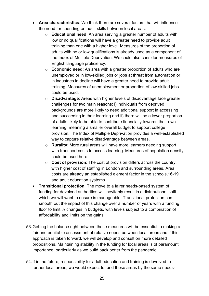- **Area characteristics**: We think there are several factors that will influence the need for spending on adult skills between local areas:
	- o **Educational need**: An area serving a greater number of adults with low or no qualifications will have a greater need to provide adult training than one with a higher level. Measures of the proportion of adults with no or low qualifications is already used as a component of the Index of Multiple Deprivation. We could also consider measures of English language proficiency.
	- o **Economic need**: An area with a greater proportion of adults who are unemployed or in low-skilled jobs or jobs at threat from automation or in industries in decline will have a greater need to provide adult training. Measures of unemployment or proportion of low-skilled jobs could be used.
	- o **Disadvantage**: Areas with higher levels of disadvantage face greater challenges for two main reasons: i) individuals from deprived backgrounds are more likely to need additional support in accessing and succeeding in their learning and ii) there will be a lower proportion of adults likely to be able to contribute financially towards their own learning, meaning a smaller overall budget to support college provision. The Index of Multiple Deprivation provides a well-established way to capture relative disadvantage between areas.
	- o **Rurality**: More rural areas will have more learners needing support with transport costs to access learning. Measures of population density could be used here.
	- o **Cost of provision**: The cost of provision differs across the country, with higher cost of staffing in London and surrounding areas. Area costs are already an established element factor in the schools,16-19 and adult education systems.
- **Transitional protection**: The move to a fairer needs-based system of funding for devolved authorities will inevitably result in a distributional shift which we will want to ensure is manageable. Transitional protection can smooth out the impact of this change over a number of years with a funding floor to limit % changes in budgets, with levels subject to a combination of affordability and limits on the gains.
- 53.Getting the balance right between these measures will be essential to making a fair and equitable assessment of relative needs between local areas and if this approach is taken forward, we will develop and consult on more detailed propositions. Maintaining stability in the funding for local areas is of paramount importance, particularly as we build back better from the pandemic.
- 54.If in the future, responsibility for adult education and training is devolved to further local areas, we would expect to fund those areas by the same needs-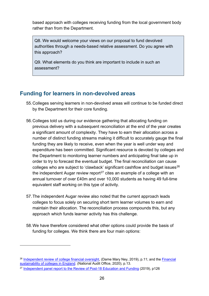based approach with colleges receiving funding from the local government body rather than from the Department.

Q8. We would welcome your views on our proposal to fund devolved authorities through a needs-based relative assessment. Do you agree with this approach?

Q9. What elements do you think are important to include in such an assessment?

# <span id="page-25-0"></span>**Funding for learners in non-devolved areas**

- 55.Colleges serving learners in non-devolved areas will continue to be funded direct by the Department for their core funding.
- 56.Colleges told us during our evidence gathering that allocating funding on previous delivery with a subsequent reconciliation at the end of the year creates a significant amount of complexity. They have to earn their allocation across a number of distinct funding streams making it difficult to accurately gauge the final funding they are likely to receive, even when the year is well under way and expenditure has been committed. Significant resource is devoted by colleges and the Department to monitoring learner numbers and anticipating final take up in order to try to forecast the eventual budget. The final reconciliation can cause colleges who are subject to 'clawback' significant cashflow and budget issues<sup>[26](#page-25-1)</sup> the independent Augar review report<sup>[27](#page-25-2)</sup> cites an example of a college with an annual turnover of over £40m and over 10,000 students as having 49 full-time equivalent staff working on this type of activity.
- 57.The independent Augar review also noted that the current approach leads colleges to focus solely on securing short term learner volumes to earn and maintain their allocation. The reconciliation process compounds this, but any approach which funds learner activity has this challenge.
- 58.We have therefore considered what other options could provide the basis of funding for colleges. We think there are four main options:

<span id="page-25-1"></span><sup>&</sup>lt;sup>26</sup> [Independent review of college financial oversight,](https://assets.publishing.service.gov.uk/government/uploads/system/uploads/attachment_data/file/900210/DfE_Independent_Review_of_Financial_Oversight_of_FE_Colleges.pdf) (Dame Mary Ney, 2019), p.11; and the Financial [sustainability of colleges in England.](https://www.nao.org.uk/wp-content/uploads/2020/09/Financial-sustainability-of-colleges-in-England.pdf) (National Audit Office, 2020), p.13.

<span id="page-25-2"></span><sup>&</sup>lt;sup>27</sup> [Independent panel report to the Review of Post-18 Education and Funding](https://assets.publishing.service.gov.uk/government/uploads/system/uploads/attachment_data/file/805127/Review_of_post_18_education_and_funding.pdf) (2019), p126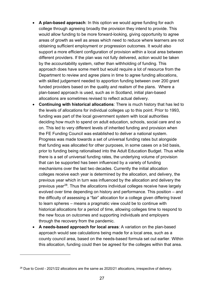- **A plan-based approach**: In this option we would agree funding for each college through agreeing broadly the provision they intend to provide. This would allow funding to be more forward-looking, giving opportunity to agree areas of growth as well as areas which need to reduce where learners are not obtaining sufficient employment or progression outcomes. It would also support a more efficient configuration of provision within a local area between different providers. If the plan was not fully delivered, action would be taken by the accountability system, rather than withholding of funding. This approach does have some merit but would require a lot of resource from the Department to review and agree plans in time to agree funding allocations, with skilled judgement needed to apportion funding between over 200 grant funded providers based on the quality and realism of the plans. Where a plan-based approach is used, such as in Scotland, initial plan-based allocations are sometimes revised to reflect actual delivery.
- **Continuing with historical allocations**: There is much history that has led to the levels of allocations for individual colleges up to this point. Prior to 1993, funding was part of the local government system with local authorities deciding how much to spend on adult education, schools, social care and so on. This led to very different levels of inherited funding and provision when the FE Funding Council was established to deliver a national system. Progress was made towards a set of universal funding rates but alongside that funding was allocated for other purposes, in some cases on a bid basis, prior to funding being rationalised into the Adult Education Budget. Thus while there is a set of universal funding rates, the underlying volume of provision that can be supported has been influenced by a variety of funding mechanisms over the last two decades. Currently the initial allocation colleges receive each year is determined by the allocation, and delivery, the previous year which in turn was influenced by the allocation and delivery the previous year<sup>[28](#page-26-0)</sup>. Thus the allocations individual colleges receive have largely evolved over time depending on history and performance. This position – and the difficulty of assessing a "fair" allocation for a college given differing travel to learn spheres – means a pragmatic view could be to continue with historical allocations for a period of time, allowing colleges time to respond to the new focus on outcomes and supporting individuals and employers through the recovery from the pandemic.
- **A needs-based approach for local areas**: A variation on the plan-based approach would see calculations being made for a local area, such as a county council area, based on the needs-based formula set out earlier. Within this allocation, funding could then be agreed for the colleges within that area.

<span id="page-26-0"></span><sup>&</sup>lt;sup>28</sup> Due to Covid - 2021/22 allocations are the same as 2020/21 allocations, irrespective of delivery.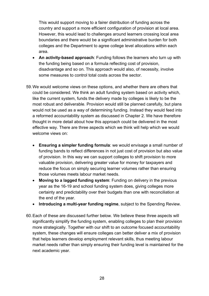This would support moving to a fairer distribution of funding across the country and support a more efficient configuration of provision at local area. However, this would lead to challenges around learners crossing local area boundaries and there would be a significant administrative burden for both colleges and the Department to agree college level allocations within each area.

- **An activity-based approach**: Funding follows the learners who turn up with the funding being based on a formula reflecting cost of provision, disadvantage and so on. This approach would also, of necessity, involve some measures to control total costs across the sector.
- 59.We would welcome views on these options, and whether there are others that could be considered. We think an adult funding system based on activity which, like the current system, funds the delivery made by colleges is likely to be the most robust and deliverable. Provision would still be planned carefully, but plans would not be used as a way of determining funding. Instead they would feed into a reformed accountability system as discussed in Chapter 2. We have therefore thought in more detail about how this approach could be delivered in the most effective way. There are three aspects which we think will help which we would welcome views on:
	- **Ensuring a simpler funding formula**: we would envisage a small number of funding bands to reflect differences in not just cost of provision but also value of provision. In this way we can support colleges to shift provision to more valuable provision, delivering greater value for money for taxpayers and reduce the focus on simply securing learner volumes rather than ensuring those volumes meets labour market needs.
	- **Moving to a lagged funding system**: Funding on delivery in the previous year as the 16-19 and school funding system does, giving colleges more certainty and predictability over their budgets than one with reconciliation at the end of the year.
	- **Introducing a multi-year funding regime**, subject to the Spending Review.
- 60.Each of these are discussed further below. We believe these three aspects will significantly simplify the funding system, enabling colleges to plan their provision more strategically. Together with our shift to an outcome focused accountability system, these changes will ensure colleges can better deliver a mix of provision that helps learners develop employment relevant skills, thus meeting labour market needs rather than simply ensuring their funding level is maintained for the next academic year.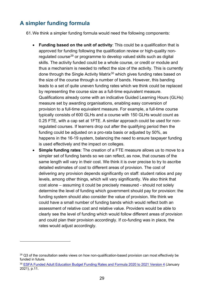# <span id="page-28-0"></span>**A simpler funding formula**

61.We think a simpler funding formula would need the following components:

- **Funding based on the unit of activity**: This could be a qualification that is approved for funding following the qualification review or high-quality nonregulated course[29](#page-28-1) or programme to develop valued skills such as digital skills. The activity funded could be a whole course, or credit or module and thus a mechanism is needed to reflect the size of the activity. This is currently done through the Single Activity Matrix<sup>[30](#page-28-2)</sup> which gives funding rates based on the size of the course through a number of bands. However, this banding leads to a set of quite uneven funding rates which we think could be replaced by representing the course size as a full-time equivalent measure. Qualifications already come with an indicative Guided Learning Hours (GLHs) measure set by awarding organisations, enabling easy conversion of provision to a full-time equivalent measure. For example, a full-time course typically consists of 600 GLHs and a course with 150 GLHs would count as 0.25 FTE, with a cap set at 1FTE. A similar approach could be used for nonregulated courses. If learners drop out after the qualifying period then the funding could be adjusted on a pro-rata basis or adjusted by 50%, as happens in the 16-19 system, balancing the need to ensure taxpayer funding is used effectively and the impact on colleges.
- **Simple funding rates**: The creation of a FTE measure allows us to move to a simpler set of funding bands so we can reflect, as now, that courses of the same length will vary in their cost. We think it is over precise to try to ascribe detailed estimates of cost to different areas of provision. The cost of delivering any provision depends significantly on staff: student ratios and pay levels, among other things, which will vary significantly. We also think that cost alone – assuming it could be precisely measured - should not solely determine the level of funding which government should pay for provision: the funding system should also consider the value of provision. We think we could have a small number of funding bands which would reflect both an assessment of relative cost and relative value. Providers would be able to clearly see the level of funding which would follow different areas of provision and could plan their provision accordingly. If co-funding was in place, the rates would adiust accordingly.

<span id="page-28-1"></span><sup>&</sup>lt;sup>29</sup> Q3 of the consultation seeks views on how non-qualification-based provision can most effectively be funded in future.

<span id="page-28-2"></span><sup>30</sup> [ESFA Funded Adult Education Budget Funding Rates and Formula 2020 to 2021 Version 4](https://assets.publishing.service.gov.uk/government/uploads/system/uploads/attachment_data/file/956690/ESFA_Funded_Adult_Education_Budget_Funding_rates_and_formula_2020_to_2021_v4.pdf) (January 2021), p.11.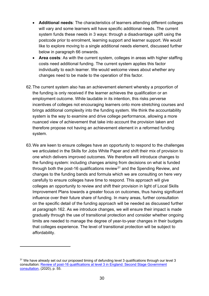- **Additional needs**: The characteristics of learners attending different colleges will vary and some learners will have specific additional needs. The current system funds these needs in 3 ways: through a disadvantage uplift using the postcode prior to enrolment, learning support and learner support. We would like to explore moving to a single additional needs element, discussed further below in paragraph 66 onwards.
- **Area costs**: As with the current system, colleges in areas with higher staffing costs need additional funding. The current system applies this factor individually to each learner. We would welcome views about whether any changes need to be made to the operation of this factor.
- 62.The current system also has an achievement element whereby a proportion of the funding is only received if the learner achieves the qualification or an employment outcome. While laudable in its intention, this risks perverse incentives of colleges not encouraging learners onto more stretching courses and brings additional complexity into the funding system. We think the accountability system is the way to examine and drive college performance, allowing a more nuanced view of achievement that take into account the provision taken and therefore propose not having an achievement element in a reformed funding system.
- 63.We are keen to ensure colleges have an opportunity to respond to the challenges we articulated in the Skills for Jobs White Paper and shift their mix of provision to one which delivers improved outcomes. We therefore will introduce changes to the funding system: including changes arising from decisions on what is funded through both the post-16 qualifications review $31$  and the Spending Review, and changes to the funding bands and formula which we are consulting on here very carefully to ensure colleges have time to respond. This approach will give colleges an opportunity to review and shift their provision in light of Local Skills Improvement Plans towards a greater focus on outcomes, thus having significant influence over their future share of funding. In many areas, further consultation on the specific detail of the funding approach will be needed as discussed further at paragraph 162. As we introduce changes, we will ensure their impact is made gradually through the use of transitional protection and consider whether ongoing limits are needed to manage the degree of year-to-year changes in their budgets that colleges experience. The level of transitional protection will be subject to affordability.

<span id="page-29-0"></span> $31$  We have already set out our proposed timing of defunding level 3 qualifications through our level 3 consultation: [Review of post-16 qualifications at level 3 in England: Second Stage Government](https://consult.education.gov.uk/post-16-qualifications-review-team/review-of-post-16-qualifications-at-level-3/supporting_documents/Consultation%20document%20%20Review%20of%20post16%20qualifications%20at%20level%203.pdf)  [consultation,](https://consult.education.gov.uk/post-16-qualifications-review-team/review-of-post-16-qualifications-at-level-3/supporting_documents/Consultation%20document%20%20Review%20of%20post16%20qualifications%20at%20level%203.pdf) (2020), p. 55.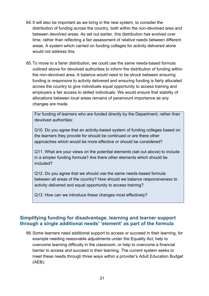- 64.It will also be important as we bring in the new system, to consider the distribution of funding across the country, both within the non-devolved area and between devolved areas. As set out earlier, this distribution has evolved over time, rather than reflecting a fair assessment of relative needs between different areas. A system which carried on funding colleges for activity delivered alone would not address this.
- 65.To move to a fairer distribution, we could use the same needs-based formula outlined above for devolved authorities to inform the distribution of funding within the non-devolved area. A balance would need to be struck between ensuring funding is responsive to activity delivered and ensuring funding is fairly allocated across the country to give individuals equal opportunity to access training and employers a fair access to skilled individuals. We would ensure that stability of allocations between local areas remains of paramount importance as any changes are made.

For funding of learners who are funded directly by the Department, rather than devolved authorities:

Q10. Do you agree that an activity-based system of funding colleges based on the learners they provide for should be continued or are there other approaches which would be more effective or should be considered?

Q11. What are your views on the potential elements (set out above) to include in a simpler funding formula? Are there other elements which should be included?

Q12. Do you agree that we should use the same needs-based formula between all areas of the country? How should we balance responsiveness to activity delivered and equal opportunity to access training?

Q13. How can we introduce these changes most effectively?

#### <span id="page-30-0"></span>**Simplifying funding for disadvantage, learning and learner support through a single additional needs' 'element' as part of the formula**

66.Some learners need additional support to access or succeed in their learning, for example needing reasonable adjustments under the Equality Act; help to overcome learning difficulty in the classroom; or help to overcome a financial barrier to access and succeed in their learning. The current system seeks to meet these needs through three ways within a provider's Adult Education Budget (AEB):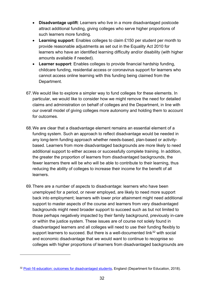- **Disadvantage uplift**: Learners who live in a more disadvantaged postcode attract additional funding, giving colleges who serve higher proportions of such learners more funding.
- **Learning support**: Enables colleges to claim £150 per student per month to provide reasonable adjustments as set out in the Equality Act 2010 for learners who have an identified learning difficulty and/or disability (with higher amounts available if needed).
- **Learner support:** Enables colleges to provide financial hardship funding. childcare funding, residential access or coronavirus support for learners who cannot access online learning with this funding being claimed from the Department.
- 67.We would like to explore a simpler way to fund colleges for these elements. In particular, we would like to consider how we might remove the need for detailed claims and administration on behalf of colleges and the Department, in line with our overall model of giving colleges more autonomy and holding them to account for outcomes.
- 68.We are clear that a disadvantage element remains an essential element of a funding system. Such an approach to reflect disadvantage would be needed in any long-term funding approach whether needs-based, plan-based or activitybased. Learners from more disadvantaged backgrounds are more likely to need additional support to either access or successfully complete training. In addition, the greater the proportion of learners from disadvantaged backgrounds, the fewer learners there will be who will be able to contribute to their learning, thus reducing the ability of colleges to increase their income for the benefit of all learners.
- 69.There are a number of aspects to disadvantage: learners who have been unemployed for a period, or never employed, are likely to need more support back into employment; learners with lower prior attainment might need additional support to master aspects of the course and learners from very disadvantaged backgrounds might need broader support to succeed such as but not limited to those perhaps negatively impacted by their family background, previously in-care or within the justice system. These issues are of course not solely found in disadvantaged learners and all colleges will need to use their funding flexibly to support learners to succeed. But there is a well-documented link<sup>[32](#page-31-0)</sup> with social and economic disadvantage that we would want to continue to recognise so colleges with higher proportions of learners from disadvantaged backgrounds are

<span id="page-31-0"></span><sup>&</sup>lt;sup>32</sup> [Post-16 education: outcomes for disadvantaged students,](https://assets.publishing.service.gov.uk/government/uploads/system/uploads/attachment_data/file/916163/Post_16_education_outcomes_for_disadvantaged_students.pdf) England (Department for Education, 2018).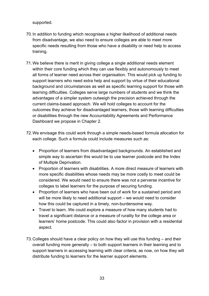supported.

- 70.In addition to funding which recognises a higher likelihood of additional needs from disadvantage, we also need to ensure colleges are able to meet more specific needs resulting from those who have a disability or need help to access training.
- 71.We believe there is merit in giving college a single additional needs element within their core funding which they can use flexibly and autonomously to meet all forms of learner need across their organisation. This would pick up funding to support learners who need extra help and support by virtue of their educational background and circumstances as well as specific learning support for those with learning difficulties. Colleges serve large numbers of students and we think the advantages of a simpler system outweigh the precision achieved through the current claims-based approach. We will hold colleges to account for the outcomes they achieve for disadvantaged learners, those with learning difficulties or disabilities through the new Accountability Agreements and Performance Dashboard we propose in Chapter 2.
- 72.We envisage this could work through a simple needs-based formula allocation for each college. Such a formula could include measures such as:
	- Proportion of learners from disadvantaged backgrounds. An established and simple way to ascertain this would be to use learner postcode and the Index of Multiple Deprivation.
	- Proportion of learners with disabilities. A more direct measure of learners with more specific disabilities whose needs may be more costly to meet could be considered. We would need to ensure there was not a perverse incentive for colleges to label learners for the purpose of securing funding.
	- Proportion of learners who have been out of work for a sustained period and will be more likely to need additional support – we would need to consider how this could be captured in a timely, non-burdensome way.
	- Travel to learn. We could explore a measure of how many students had to travel a significant distance or a measure of rurality for the college area or learners' home postcode. This could also factor in provision with a residential aspect.
- 73.Colleges should have a clear policy on how they will use this funding and their overall funding more generally – to both support learners in their learning and to support learners in accessing learning with clear criteria, as now, on how they will distribute funding to learners for the learner support elements.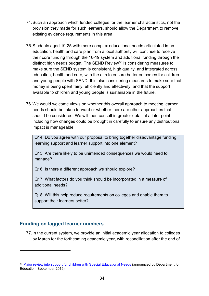- 74.Such an approach which funded colleges for the learner characteristics, not the provision they made for such learners, should allow the Department to remove existing evidence requirements in this area.
- 75.Students aged 19-25 with more complex educational needs articulated in an education, health and care plan from a local authority will continue to receive their core funding through the 16-19 system and additional funding through the distinct high needs budget. The SEND Review<sup>[33](#page-33-1)</sup> is considering measures to make sure the SEND system is consistent, high quality, and integrated across education, health and care, with the aim to ensure better outcomes for children and young people with SEND. It is also considering measures to make sure that money is being spent fairly, efficiently and effectively, and that the support available to children and young people is sustainable in the future.
- 76.We would welcome views on whether this overall approach to meeting learner needs should be taken forward or whether there are other approaches that should be considered. We will then consult in greater detail at a later point including how changes could be brought in carefully to ensure any distributional impact is manageable.

Q14. Do you agree with our proposal to bring together disadvantage funding, learning support and learner support into one element?

Q15. Are there likely to be unintended consequences we would need to manage?

Q16. Is there a different approach we should explore?

Q17. What factors do you think should be incorporated in a measure of additional needs?

Q18. Will this help reduce requirements on colleges and enable them to support their learners better?

#### <span id="page-33-0"></span>**Funding on lagged learner numbers**

77.In the current system, we provide an initial academic year allocation to colleges by March for the forthcoming academic year, with reconciliation after the end of

<span id="page-33-1"></span><sup>&</sup>lt;sup>33</sup> [Major review into support for children with Special Educational Needs](https://www.gov.uk/government/news/major-review-into-support-for-children-with-special-educational-needs) (announced by Department for Education, September 2019)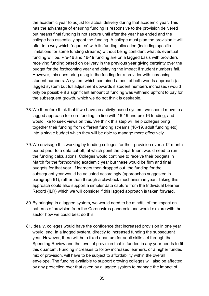the academic year to adjust for actual delivery during that academic year. This has the advantage of ensuring funding is responsive to the provision delivered but means final funding is not secure until after the year has ended and the college has essentially spent the funding. A college must plan the provision it will offer in a way which "equates" with its funding allocation (including specific limitations for some funding streams) without being confident what its eventual funding will be. Pre-16 and 16-19 funding are on a lagged basis with providers receiving funding based on delivery in the previous year giving certainty over the budget for the forthcoming year and delaying the impact if student numbers fall. However, this does bring a lag in the funding for a provider with increasing student numbers. A system which combined a best of both worlds approach (a lagged system but full adjustment upwards if student numbers increased) would only be possible if a significant amount of funding was withheld upfront to pay for the subsequent growth, which we do not think is desirable.

- 78.We therefore think that if we have an activity-based system, we should move to a lagged approach for core funding, in line with 16-19 and pre-16 funding, and would like to seek views on this. We think this step will help colleges bring together their funding from different funding streams (16-19, adult funding etc) into a single budget which they will be able to manage more effectively.
- 79.We envisage this working by funding colleges for their provision over a 12-month period prior to a data cut-off, at which point the Department would need to run the funding calculations. Colleges would continue to receive their budgets in March for the forthcoming academic year but these would be firm and final budgets for that year. If learners then dropped out, the funding for the subsequent year would be adjusted accordingly (approaches suggested in paragraph 61), rather than through a clawback mechanism in year. Taking this approach could also support a simpler data capture from the Individual Learner Record (ILR) which we will consider if this lagged approach is taken forward.
- 80.By bringing in a lagged system, we would need to be mindful of the impact on patterns of provision from the Coronavirus pandemic and would explore with the sector how we could best do this.
- 81.Ideally, colleges would have the confidence that increased provision in one year would lead, in a lagged system, directly to increased funding the subsequent year. However, there will be a fixed quantum for adult skills set through the Spending Review and the level of provision that is funded in any year needs to fit this quantum. Funding increases to follow increased learners, or a higher funded mix of provision, will have to be subject to affordability within the overall envelope. The funding available to support growing colleges will also be affected by any protection over that given by a lagged system to manage the impact of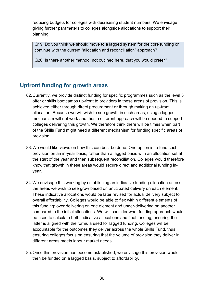reducing budgets for colleges with decreasing student numbers. We envisage giving further parameters to colleges alongside allocations to support their planning.

Q19. Do you think we should move to a lagged system for the core funding or continue with the current "allocation and reconciliation" approach?

Q20. Is there another method, not outlined here, that you would prefer?

# <span id="page-35-0"></span>**Upfront funding for growth areas**

- 82.Currently, we provide distinct funding for specific programmes such as the level 3 offer or skills bootcamps up-front to providers in these areas of provision. This is achieved either through direct procurement or through making an up-front allocation. Because we will wish to see growth in such areas, using a lagged mechanism will not work and thus a different approach will be needed to support colleges delivering this growth. We therefore think there will be times when part of the Skills Fund might need a different mechanism for funding specific areas of provision.
- 83.We would like views on how this can best be done. One option is to fund such provision on an in-year basis, rather than a lagged basis with an allocation set at the start of the year and then subsequent reconciliation. Colleges would therefore know that growth in these areas would secure direct and additional funding inyear.
- 84.We envisage this working by establishing an indicative funding allocation across the areas we wish to see grow based on anticipated delivery on each element. These indicative allocations would be later revised for actual delivery subject to overall affordability. Colleges would be able to flex within different elements of this funding: over delivering on one element and under-delivering on another compared to the initial allocations. We will consider what funding approach would be used to calculate both indicative allocations and final funding, ensuring the latter is aligned with the formula used for lagged funding. Colleges will be accountable for the outcomes they deliver across the whole Skills Fund, thus ensuring colleges focus on ensuring that the volume of provision they deliver in different areas meets labour market needs.
- 85.Once this provision has become established, we envisage this provision would then be funded on a lagged basis, subject to affordability.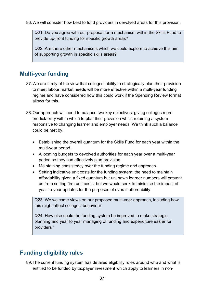86.We will consider how best to fund providers in devolved areas for this provision.

Q21. Do you agree with our proposal for a mechanism within the Skills Fund to provide up-front funding for specific growth areas?

Q22. Are there other mechanisms which we could explore to achieve this aim of supporting growth in specific skills areas?

# <span id="page-36-0"></span>**Multi-year funding**

- 87.We are firmly of the view that colleges' ability to strategically plan their provision to meet labour market needs will be more effective within a multi-year funding regime and have considered how this could work if the Spending Review format allows for this.
- 88.Our approach will need to balance two key objectives: giving colleges more predictability within which to plan their provision whilst retaining a system responsive to changing learner and employer needs. We think such a balance could be met by:
	- Establishing the overall quantum for the Skills Fund for each year within the multi-year period.
	- Allocating budgets to devolved authorities for each year over a multi-year period so they can effectively plan provision.
	- Maintaining consistency over the funding regime and approach.
	- Setting indicative unit costs for the funding system: the need to maintain affordability given a fixed quantum but unknown learner numbers will prevent us from setting firm unit costs, but we would seek to minimise the impact of year-to-year updates for the purposes of overall affordability.

Q23. We welcome views on our proposed multi-year approach, including how this might affect colleges' behaviour.

Q24. How else could the funding system be improved to make strategic planning and year to year managing of funding and expenditure easier for providers?

# <span id="page-36-1"></span>**Funding eligibility rules**

89.The current funding system has detailed eligibility rules around who and what is entitled to be funded by taxpayer investment which apply to learners in non-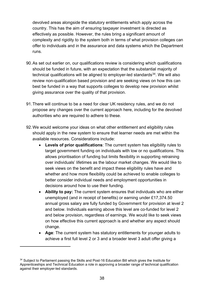devolved areas alongside the statutory entitlements which apply across the country. This has the aim of ensuring taxpayer investment is directed as effectively as possible. However, the rules bring a significant amount of complexity and rigidity to the system both in terms of what provision colleges can offer to individuals and in the assurance and data systems which the Department runs.

- 90.As set out earlier on, our qualifications review is considering which qualifications should be funded in future, with an expectation that the substantial majority of technical qualifications will be aligned to employer-led standards $34$ . We will also review non-qualification based provision and are seeking views on how this can best be funded in a way that supports colleges to develop new provision whilst giving assurance over the quality of that provision.
- 91.There will continue to be a need for clear UK residency rules, and we do not propose any changes over the current approach here, including for the devolved authorities who are required to adhere to these.
- 92.We would welcome your ideas on what other entitlement and eligibility rules should apply in the new system to ensure that learner needs are met within the available resources. Considerations include:
	- **Levels of prior qualifications**: The current system has eligibility rules to target government funding on individuals with low or no qualifications. This allows prioritisation of funding but limits flexibility in supporting retraining over individuals' lifetimes as the labour market changes. We would like to seek views on the benefit and impact these eligibility rules have and whether and how more flexibility could be achieved to enable colleges to better consider individual needs and employment opportunities in decisions around how to use their funding.
	- **Ability to pay:** The current system ensures that individuals who are either unemployed (and in receipt of benefits) or earning under £17,374.50 annual gross salary are fully funded by Government for provision at level 2 and below. Individuals earning above this level are co-funded for level 2 and below provision, regardless of earnings. We would like to seek views on how effective this current approach is and whether any aspect should change.
	- **Age**: The current system has statutory entitlements for younger adults to achieve a first full level 2 or 3 and a broader level 3 adult offer giving a

<span id="page-37-0"></span><sup>&</sup>lt;sup>34</sup> Subject to Parliament passing the Skills and Post-16 Education Bill which gives the Institute for Apprenticeships and Technical Education a role in approving a broader range of technical qualification against their employer-led standards.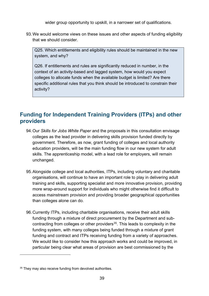wider group opportunity to upskill, in a narrower set of qualifications.

93.We would welcome views on these issues and other aspects of funding eligibility that we should consider.

Q25. Which entitlements and eligibility rules should be maintained in the new system, and why?

Q26. If entitlements and rules are significantly reduced in number, in the context of an activity-based and lagged system, how would you expect colleges to allocate funds when the available budget is limited? Are there specific additional rules that you think should be introduced to constrain their activity?

# <span id="page-38-0"></span>**Funding for Independent Training Providers (ITPs) and other providers**

- 94.Our *Skills for Jobs White Paper* and the proposals in this consultation envisage colleges as the lead provider in delivering skills provision funded directly by government. Therefore, as now, grant funding of colleges and local authority education providers, will be the main funding flow in our new system for adult skills. The apprenticeship model, with a lead role for employers, will remain unchanged.
- 95.Alongside college and local authorities, ITPs, including voluntary and charitable organisations, will continue to have an important role to play in delivering adult training and skills, supporting specialist and more innovative provision, providing more wrap-around support for individuals who might otherwise find it difficult to access mainstream provision and providing broader geographical opportunities than colleges alone can do.
- 96.Currently ITPs, including charitable organisations, receive their adult skills funding through a mixture of direct procurement by the Department and subcontracting from colleges or other providers<sup>35</sup>. This leads to complexity in the funding system, with many colleges being funded through a mixture of grant funding and contract and ITPs receiving funding from a variety of approaches. We would like to consider how this approach works and could be improved, in particular being clear what areas of provision are best commissioned by the

<span id="page-38-1"></span><sup>&</sup>lt;sup>35</sup> They may also receive funding from devolved authorities.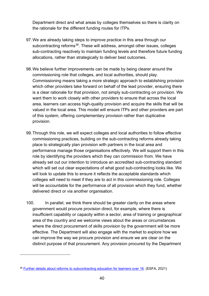Department direct and what areas by colleges themselves so there is clarity on the rationale for the different funding routes for ITPs.

- 97.We are already taking steps to improve practice in this area through our subcontracting reforms<sup>[36](#page-39-0)</sup>. These will address, amongst other issues, colleges sub-contracting reactively to maintain funding levels and therefore future funding allocations, rather than strategically to deliver best outcomes.
- 98.We believe further improvements can be made by being clearer around the commissioning role that colleges, and local authorities, should play. Commissioning means taking a more strategic approach to establishing provision which other providers take forward on behalf of the lead provider, ensuring there is a clear rationale for that provision, not simply sub-contracting on provision. We want them to work closely with other providers to ensure that across the local area, learners can access high-quality provision and acquire the skills that will be valued in the local area. This model will ensure ITPs and other providers are part of this system, offering complementary provision rather than duplicative provision.
- 99.Through this role, we will expect colleges and local authorities to follow effective commissioning practices, building on the sub-contracting reforms already taking place to strategically plan provision with partners in the local area and performance manage those organisations effectively. We will support them in this role by identifying the providers which they can commission from. We have already set out our intention to introduce an accredited sub-contracting standard which will set out clear expectations of what good sub-contracting looks like. We will look to update this to ensure it reflects the acceptable standards which colleges will need to meet if they are to act in this commissioning role. Colleges will be accountable for the performance of all provision which they fund, whether delivered direct or via another organisation.
- 100. In parallel, we think there should be greater clarity on the areas where government would procure provision direct, for example, where there is insufficient capability or capacity within a sector, area of training or geographical area of the country and we welcome views about the areas or circumstances where the direct procurement of skills provision by the government will be more effective. The Department will also engage with the market to explore how we can improve the way we procure provision and ensure we are clear on the distinct purpose of that procurement. Any provision procured by the Department

<span id="page-39-0"></span><sup>36</sup> [Further details about reforms to subcontracting education](https://www.gov.uk/government/publications/further-details-about-reforms-to-subcontracting-education-for-learners-over-16) for learners over 16. (ESFA, 2021)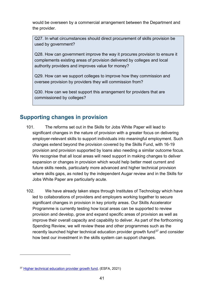would be overseen by a commercial arrangement between the Department and the provider.

Q27. In what circumstances should direct procurement of skills provision be used by government?

Q28. How can government improve the way it procures provision to ensure it complements existing areas of provision delivered by colleges and local authority providers and improves value for money?

Q29. How can we support colleges to improve how they commission and oversee provision by providers they will commission from?

Q30. How can we best support this arrangement for providers that are commissioned by colleges?

# <span id="page-40-0"></span>**Supporting changes in provision**

- 101. The reforms set out in the Skills for Jobs White Paper will lead to significant changes in the nature of provision with a greater focus on delivering employer-relevant skills to support individuals into meaningful employment. Such changes extend beyond the provision covered by the Skills Fund, with 16-19 provision and provision supported by loans also needing a similar outcome focus. We recognise that all local areas will need support in making changes to deliver expansion or changes in provision which would help better meet current and future skills needs, particularly more advanced and higher technical provision where skills gaps, as noted by the independent Augar review and in the Skills for Jobs White Paper are particularly acute.
- 102. We have already taken steps through Institutes of Technology which have led to collaborations of providers and employers working together to secure significant changes in provision in key priority areas. Our Skills Accelerator Programme is currently testing how local areas can be supported to review provision and develop, grow and expand specific areas of provision as well as improve their overall capacity and capability to deliver. As part of the forthcoming Spending Review, we will review these and other programmes such as the recently launched higher technical education provider growth fund<sup>[37](#page-40-1)</sup> and consider how best our investment in the skills system can support changes.

<span id="page-40-1"></span><sup>37</sup> [Higher technical education provider growth fund,](https://www.gov.uk/government/publications/higher-technical-education-provider-growth-fund) (ESFA, 2021)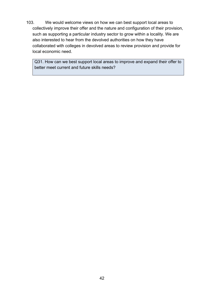103. We would welcome views on how we can best support local areas to collectively improve their offer and the nature and configuration of their provision, such as supporting a particular industry sector to grow within a locality. We are also interested to hear from the devolved authorities on how they have collaborated with colleges in devolved areas to review provision and provide for local economic need.

Q31. How can we best support local areas to improve and expand their offer to better meet current and future skills needs?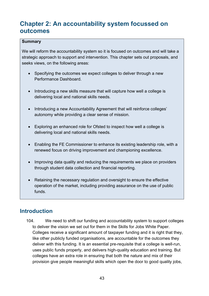# <span id="page-42-0"></span>**Chapter 2: An accountability system focussed on outcomes**

#### **Summary**

We will reform the accountability system so it is focused on outcomes and will take a strategic approach to support and intervention. This chapter sets out proposals, and seeks views, on the following areas:

- Specifying the outcomes we expect colleges to deliver through a new Performance Dashboard.
- Introducing a new skills measure that will capture how well a college is delivering local and national skills needs.
- Introducing a new Accountability Agreement that will reinforce colleges' autonomy while providing a clear sense of mission.
- Exploring an enhanced role for Ofsted to inspect how well a college is delivering local and national skills needs.
- Enabling the FE Commissioner to enhance its existing leadership role, with a renewed focus on driving improvement and championing excellence.
- Improving data quality and reducing the requirements we place on providers through student data collection and financial reporting.
- Retaining the necessary regulation and oversight to ensure the effective operation of the market, including providing assurance on the use of public funds.

# <span id="page-42-1"></span>**Introduction**

104. We need to shift our funding and accountability system to support colleges to deliver the vision we set out for them in the Skills for Jobs White Paper. Colleges receive a significant amount of taxpayer funding and it is right that they, like other publicly funded organisations, are accountable for the outcomes they deliver with this funding. It is an essential pre-requisite that a college is well-run, uses public funds properly, and delivers high-quality education and training. But colleges have an extra role in ensuring that both the nature and mix of their provision give people meaningful skills which open the door to good quality jobs,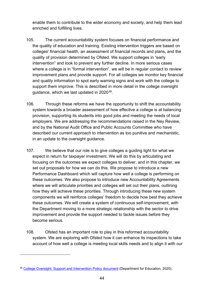enable them to contribute to the wider economy and society, and help them lead enriched and fulfilling lives.

- 105. The current accountability system focuses on financial performance and the quality of education and training. Existing intervention triggers are based on colleges' financial health, an assessment of financial records and plans, and the quality of provision determined by Ofsted. We support colleges in "early intervention" and look to prevent any further decline. In more serious cases where a college is in "formal intervention", we will be in regular contact to review improvement plans and provide support. For all colleges we monitor key financial and quality information to spot early warning signs and work with the college to support them improve. This is described in more detail in the college oversight guidance, which we last updated in 2020[38](#page-43-0).
- 106. Through these reforms we have the opportunity to shift the accountability system towards a broader assessment of how effective a college is at balancing provision, supporting its students into good jobs and meeting the needs of local employers. We are addressing the recommendations raised in the Ney Review, and by the National Audit Office and Public Accounts Committee who have described our current approach to intervention as too punitive and mechanistic, in an update to the oversight guidance.
- 107. We believe that our role is to give colleges a guiding light for what we expect in return for taxpayer investment. We will do this by articulating and focusing on the outcomes we expect colleges to deliver, and in this chapter, we set out proposals for how we can do this. We propose to introduce a new Performance Dashboard which will capture how well a college is performing on these outcomes. We also propose to introduce new Accountability Agreements where we will articulate priorities and colleges will set out their plans, outlining how they will achieve these priorities. Through introducing these new system components we will reinforce colleges' freedom to decide how best they achieve these outcomes. We will create a system of continuous self-improvement, with the Department moving to a more strategic relationship with the sector to drive improvement and provide the support needed to tackle issues before they become serious.
- 108. Ofsted has an important role to play in this reformed accountability system. We are exploring with Ofsted how it can enhance its inspections to take account of how well a college is meeting local skills needs and to align it with our

<span id="page-43-0"></span><sup>&</sup>lt;sup>38</sup> [College Oversight: Support and Intervention Policy document](https://assets.publishing.service.gov.uk/government/uploads/system/uploads/attachment_data/file/929201/College_Oversight_document_Oct_20_updates_FINAL.pdf) (Department for Education, 2020).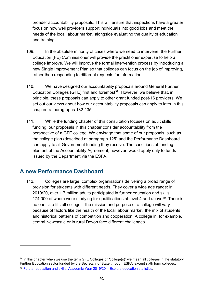broader accountability proposals. This will ensure that inspections have a greater focus on how well providers support individuals into good jobs and meet the needs of the local labour market, alongside evaluating the quality of education and training.

- 109. In the absolute minority of cases where we need to intervene, the Further Education (FE) Commissioner will provide the practitioner expertise to help a college improve. We will improve the formal intervention process by introducing a new Single Improvement Plan so that colleges can focus on the job of improving, rather than responding to different requests for information.
- 110. We have designed our accountability proposals around General Further Education Colleges (GFE) first and foremost<sup>[39](#page-44-1)</sup>. However, we believe that, in principle, these proposals can apply to other grant funded post-16 providers. We set out our views about how our accountability proposals can apply to later in this chapter, at paragraphs 132-135.
- 111. While the funding chapter of this consultation focuses on adult skills funding, our proposals in this chapter consider accountability from the perspective of a GFE college. We envisage that some of our proposals, such as the college plan (described at paragraph 125) and the Performance Dashboard can apply to all Government funding they receive. The conditions of funding element of the Accountability Agreement, however, would apply only to funds issued by the Department via the ESFA.

# <span id="page-44-0"></span>**A new Performance Dashboard**

112. Colleges are large, complex organisations delivering a broad range of provision for students with different needs. They cover a wide age range: in 2019/20, over 1.7 million adults participated in further education and skills, 174,000 of whom were studying for qualifications at level 4 and above<sup>[40](#page-44-2)</sup>. There is no one size fits all college – the mission and purpose of a college will vary because of factors like the health of the local labour market, the mix of students and historical patterns of competition and cooperation. A college in, for example, central Newcastle or in rural Devon face different challenges.

<span id="page-44-2"></span><span id="page-44-1"></span> $39$  In this chapter when we use the term GFE Colleges or "college(s)" we mean all colleges in the statutory Further Education sector funded by the Secretary of State through ESFA, except sixth form colleges. <sup>40</sup> [Further education and skills, Academic Year 2019/20 – Explore education statistics.](https://explore-education-statistics.service.gov.uk/find-statistics/further-education-and-skills/2019-20)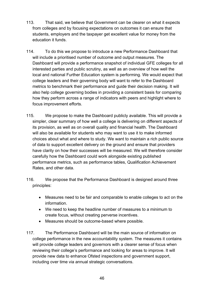- 113. That said, we believe that Government can be clearer on what it expects from colleges and by focusing expectations on outcomes it can ensure that students, employers and the taxpayer get excellent value for money from the education it funds.
- 114. To do this we propose to introduce a new Performance Dashboard that will include a prioritised number of outcome and output measures. The Dashboard will provide a performance snapshot of individual GFE colleges for all interested parties and public scrutiny, as well as an overview of how well the local and national Further Education system is performing. We would expect that college leaders and their governing body will want to refer to the Dashboard metrics to benchmark their performance and guide their decision making. It will also help college governing bodies in providing a consistent basis for comparing how they perform across a range of indicators with peers and highlight where to focus improvement efforts.
- 115. We propose to make the Dashboard publicly available. This will provide a simpler, clear summary of how well a college is delivering on different aspects of its provision, as well as on overall quality and financial health. The Dashboard will also be available for students who may want to use it to make informed choices about what and where to study. We want to maintain a rich public source of data to support excellent delivery on the ground and ensure that providers have clarity on how their successes will be measured. We will therefore consider carefully how the Dashboard could work alongside existing published performance metrics, such as performance tables, Qualification Achievement Rates, and other data.
- 116. We propose that the Performance Dashboard is designed around three principles:
	- Measures need to be fair and comparable to enable colleges to act on the information.
	- We need to keep the headline number of measures to a minimum to create focus, without creating perverse incentives.
	- Measures should be outcome-based where possible.
- 117. The Performance Dashboard will be the main source of information on college performance in the new accountability system. The measures it contains will provide college leaders and governors with a clearer sense of focus when reviewing their college's performance and looking for areas to improve. It will provide new data to enhance Ofsted inspections and government support, including over time via annual strategic conversations.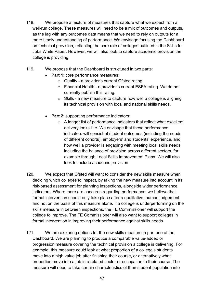- 118. We propose a mixture of measures that capture what we expect from a well-run college. These measures will need to be a mix of outcomes and outputs, as the lag with any outcomes data means that we need to rely on outputs for a more timely understanding of performance. We envisage focusing the Dashboard on technical provision, reflecting the core role of colleges outlined in the Skills for Jobs White Paper. However, we will also look to capture academic provision the college is providing.
- 119. We propose that the Dashboard is structured in two parts:
	- **Part 1**: core performance measures:
		- o Quality a provider's current Ofsted rating.
		- o Financial Health a provider's current ESFA rating. We do not currently publish this rating.
		- $\circ$  Skills a new measure to capture how well a college is aligning its technical provision with local and national skills needs.
	- **Part 2**: supporting performance indicators:
		- o A longer list of performance indicators that reflect what excellent delivery looks like. We envisage that these performance indicators will consist of student outcomes (including the needs of different cohorts), employers' and students' experience, and how well a provider is engaging with meeting local skills needs, including the balance of provision across different sectors, for example through Local Skills Improvement Plans. We will also look to include academic provision.
- 120. We expect that Ofsted will want to consider the new skills measure when deciding which colleges to inspect, by taking the new measure into account in its risk-based assessment for planning inspections, alongside wider performance indicators. Where there are concerns regarding performance, we believe that formal intervention should only take place after a qualitative, human judgement and not on the basis of this measure alone. If a college is underperforming on the skills measure in between inspections, the FE Commissioner will support the college to improve. The FE Commissioner will also want to support colleges in formal intervention in improving their performance against skills needs.
- 121. We are exploring options for the new skills measure in part one of the Dashboard. We are planning to produce a comparable value-added or progression measure covering the technical provision a college is delivering. For example, this measure could look at what proportion of a college's students move into a high value job after finishing their course, or alternatively what proportion move into a job in a related sector or occupation to their course. The measure will need to take certain characteristics of their student population into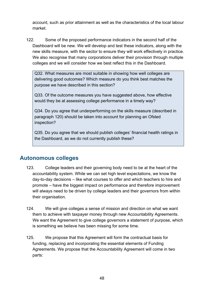account, such as prior attainment as well as the characteristics of the local labour market.

122. Some of the proposed performance indicators in the second half of the Dashboard will be new. We will develop and test these indicators, along with the new skills measure, with the sector to ensure they will work effectively in practice. We also recognise that many corporations deliver their provision through multiple colleges and we will consider how we best reflect this in the Dashboard.

Q32. What measures are most suitable in showing how well colleges are delivering good outcomes? Which measure do you think best matches the purpose we have described in this section?

Q33. Of the outcome measures you have suggested above, how effective would they be at assessing college performance in a timely way?

Q34. Do you agree that underperforming on the skills measure (described in paragraph 120) should be taken into account for planning an Ofsted inspection?

Q35. Do you agree that we should publish colleges' financial health ratings in the Dashboard, as we do not currently publish these?

# <span id="page-47-0"></span>**Autonomous colleges**

- 123. College leaders and their governing body need to be at the heart of the accountability system. While we can set high level expectations, we know the day-to-day decisions – like what courses to offer and which teachers to hire and promote – have the biggest impact on performance and therefore improvement will always need to be driven by college leaders and their governors from within their organisation.
- 124. We will give colleges a sense of mission and direction on what we want them to achieve with taxpayer money through new Accountability Agreements. We want the Agreement to give college governors a statement of purpose, which is something we believe has been missing for some time.
- 125. We propose that this Agreement will form the contractual basis for funding, replacing and incorporating the essential elements of Funding Agreements. We propose that the Accountability Agreement will come in two parts: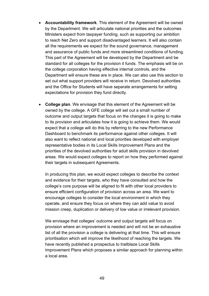- **Accountability framework**. This element of the Agreement will be owned by the Department. We will articulate national priorities and the outcomes Ministers expect from taxpayer funding, such as supporting our ambition to reach Net Zero and support disadvantaged learners. It will also contain all the requirements we expect for the sound governance, management and assurance of public funds and more streamlined conditions of funding. This part of the Agreement will be developed by the Department and be standard for all colleges for the provision it funds. The emphasis will be on the college corporation having effective internal controls, and the Department will ensure these are in place. We can also use this section to set out what support providers will receive in return. Devolved authorities and the Office for Students will have separate arrangements for setting expectations for provision they fund directly.
- **College plan**. We envisage that this element of the Agreement will be owned by the college. A GFE college will set out a small number of outcome and output targets that focus on the changes it is going to make to its provision and articulates how it is going to achieve them. We would expect that a college will do this by referring to the new Performance Dashboard to benchmark its performance against other colleges. It will also want to reflect national and local priorities developed with employer representative bodies in its Local Skills Improvement Plans and the priorities of the devolved authorities for adult skills provision in devolved areas. We would expect colleges to report on how they performed against their targets in subsequent Agreements.

In producing this plan, we would expect colleges to describe the context and evidence for their targets, who they have consulted and how the college's core purpose will be aligned to fit with other local providers to ensure efficient configuration of provision across an area. We want to encourage colleges to consider the local environment in which they operate, and ensure they focus on where they can add value to avoid mission creep, duplication or delivery of low value or irrelevant provision.

We envisage that colleges' outcome and output targets will focus on provision where an improvement is needed and will not be an exhaustive list of all the provision a college is delivering at that time. This will ensure prioritisation which will improve the likelihood of reaching the targets. We have recently published a prospectus to trailblaze Local Skills Improvement Plans which proposes a similar approach for planning within a local area.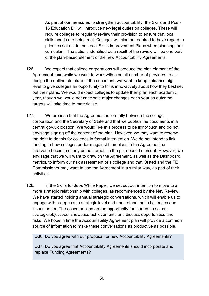As part of our measures to strengthen accountability, the Skills and Post-16 Education Bill will introduce new legal duties on colleges. These will require colleges to regularly review their provision to ensure that local skills needs are being met. Colleges will also be required to have regard to priorities set out in the Local Skills Improvement Plans when planning their curriculum. The actions identified as a result of the review will be one part of the plan-based element of the new Accountability Agreements.

- 126. We expect that college corporations will produce the plan element of the Agreement, and while we want to work with a small number of providers to codesign the outline structure of the document, we want to keep guidance highlevel to give colleges an opportunity to think innovatively about how they best set out their plans. We would expect colleges to update their plan each academic year, though we would not anticipate major changes each year as outcome targets will take time to materialise.
- 127. We propose that the Agreement is formally between the college corporation and the Secretary of State and that we publish the documents in a central gov.uk location. We would like this process to be light-touch and do not envisage signing off the content of the plan. However, we may want to reserve the right to do this for colleges in formal intervention. We do not intend to link funding to how colleges perform against their plans in the Agreement or intervene because of any unmet targets in the plan-based element. However, we envisage that we will want to draw on the Agreement, as well as the Dashboard metrics, to inform our risk assessment of a college and that Ofsted and the FE Commissioner may want to use the Agreement in a similar way, as part of their activities.
- 128. In the Skills for Jobs White Paper, we set out our intention to move to a more strategic relationship with colleges, as recommended by the Ney Review. We have started holding annual strategic conversations, which will enable us to engage with colleges at a strategic level and understand their challenges and issues better. The conversations are an opportunity for leaders to set out strategic objectives, showcase achievements and discuss opportunities and risks. We hope in time the Accountability Agreement plan will provide a common source of information to make these conversations as productive as possible.

Q36. Do you agree with our proposal for new Accountability Agreements?

Q37. Do you agree that Accountability Agreements should incorporate and replace Funding Agreements?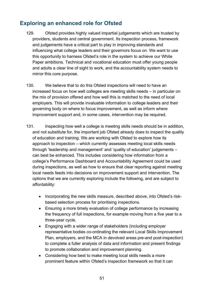# <span id="page-50-0"></span>**Exploring an enhanced role for Ofsted**

- 129. Ofsted provides highly valued impartial judgements which are trusted by providers, students and central government. Its inspection process, framework and judgements have a critical part to play in improving standards and influencing what college leaders and their governors focus on. We want to use this opportunity to harness Ofsted's role in the system to achieve our White Paper ambitions. Technical and vocational education must offer young people and adults a clear line of sight to work, and the accountability system needs to mirror this core purpose.
- 130. We believe that to do this Ofsted inspections will need to have an increased focus on how well colleges are meeting skills needs – in particular on the mix of provision offered and how well this is matched to the need of local employers. This will provide invaluable information to college leaders and their governing body on where to focus improvement, as well as inform where improvement support and, in some cases, intervention may be required.
- 131. Inspecting how well a college is meeting skills needs should be in addition, and not substitute for, the important job Ofsted already does to inspect the quality of education and training. We are working with Ofsted to explore how its approach to inspection – which currently assesses meeting local skills needs through 'leadership and management' and 'quality of education' judgements – can best be enhanced. This includes considering how information from a college's Performance Dashboard and Accountability Agreement could be used during inspections, as well as how to ensure that clear reporting against meeting local needs feeds into decisions on improvement support and intervention. The options that we are currently exploring include the following, and are subject to affordability:
	- Incorporating the new skills measure, described above, into Ofsted's riskbased selection process for prioritising inspections.
	- Ensuring a more timely evaluation of college performance by increasing the frequency of full inspections, for example moving from a five year to a three-year cycle.
	- Engaging with a wider range of stakeholders (including employer representative bodies co-ordinating the relevant Local Skills Improvement Plan, employers, and the MCA in devolved areas pre-and post-inspection) to complete a fuller analysis of data and information and present findings to promote collaboration and improvement planning.
	- Considering how best to make meeting local skills needs a more prominent feature within Ofsted's inspection framework so that it can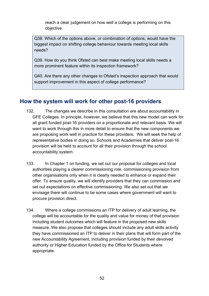reach a clear judgement on how well a college is performing on this objective.

Q38. Which of the options above, or combination of options, would have the biggest impact on shifting college behaviour towards meeting local skills needs?

Q39. How do you think Ofsted can best make meeting local skills needs a more prominent feature within its inspection framework?

Q40. Are there any other changes to Ofsted's inspection approach that would support improvement in this aspect of college performance?

# <span id="page-51-0"></span>**How the system will work for other post-16 providers**

- 132. The changes we describe in this consultation are about accountability in GFE Colleges. In principle, however, we believe that this new model can work for all grant funded post-16 providers on a proportionate and relevant basis. We will want to work through this in more detail to ensure that the new components we are proposing work well in practice for these providers. We will seek the help of representative bodies in doing so. Schools and Academies that deliver post-16 provision will be held to account for all their provision through the school accountability system.
- 133. In Chapter 1 on funding, we set out our proposal for colleges and local authorities playing a clearer commissioning role, commissioning provision from other organisations only when it is clearly needed to enhance or expand their offer. To ensure quality, we will identify providers that they can commission and set out expectations on effective commissioning. We also set out that we envisage there will continue to be some cases where government will want to procure provision direct.
- 134. Where a college commissions an ITP for delivery of adult learning, the college will be accountable for the quality and value for money of that provision including student outcomes which will feature in the proposed new skills measure. We also propose that colleges should include any adult skills activity they have commissioned an ITP to deliver in their plans that will form part of the new Accountability Agreement, including provision funded by their devolved authority or Higher Education funded by the Office for Students where appropriate.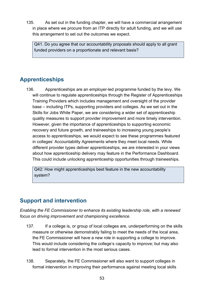135. As set out in the funding chapter, we will have a commercial arrangement in place where we procure from an ITP directly for adult funding, and we will use this arrangement to set out the outcomes we expect.

Q41. Do you agree that our accountability proposals should apply to all grant funded providers on a proportionate and relevant basis?

# <span id="page-52-0"></span>**Apprenticeships**

136. Apprenticeships are an employer-led programme funded by the levy. We will continue to regulate apprenticeships through the Register of Apprenticeships Training Providers which includes management and oversight of the provider base – including ITPs, supporting providers and colleges. As we set out in the Skills for Jobs White Paper, we are considering a wider set of apprenticeship quality measures to support provider improvement and more timely intervention. However, given the importance of apprenticeships to supporting economic recovery and future growth, and traineeships to increasing young people's access to apprenticeships, we would expect to see these programmes featured in colleges' Accountability Agreements where they meet local needs. While different provider types deliver apprenticeships, we are interested in your views about how apprenticeship delivery may feature in the Performance Dashboard. This could include unlocking apprenticeship opportunities through traineeships.

Q42: How might apprenticeships best feature in the new accountability system?

# <span id="page-52-1"></span>**Support and intervention**

*Enabling the FE Commissioner to enhance its existing leadership role, with a renewed focus on driving improvement and championing excellence.*

- 137. If a college is, or group of local colleges are, underperforming on the skills measure or otherwise demonstrably failing to meet the needs of the local area, the FE Commissioner will have a new role in supporting a college to improve. This would include considering the college's capacity to improve; but may also lead to formal intervention in the most serious cases.
- 138. Separately, the FE Commissioner will also want to support colleges in formal intervention in improving their performance against meeting local skills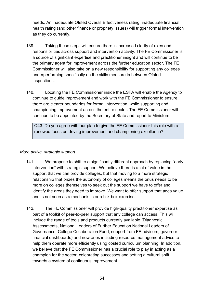needs. An inadequate Ofsted Overall Effectiveness rating, inadequate financial health rating (and other finance or propriety issues) will trigger formal intervention as they do currently.

- 139. Taking these steps will ensure there is increased clarity of roles and responsibilities across support and intervention activity. The FE Commissioner is a source of significant expertise and practitioner insight and will continue to be the primary agent for improvement across the further education sector. The FE Commissioner will also take on a new responsibility for supporting any colleges underperforming specifically on the skills measure in between Ofsted inspections.
- 140. Locating the FE Commissioner inside the ESFA will enable the Agency to continue to guide improvement and work with the FE Commissioner to ensure there are clearer boundaries for formal intervention, while supporting and championing improvement across the entire sector. The FE Commissioner will continue to be appointed by the Secretary of State and report to Ministers.

Q43. Do you agree with our plan to give the FE Commissioner this role with a renewed focus on driving improvement and championing excellence?

#### *More active, strategic support*

- 141. We propose to shift to a significantly different approach by replacing "early intervention" with strategic support. We believe there is a lot of value in the support that we can provide colleges, but that moving to a more strategic relationship that prizes the autonomy of colleges means the onus needs to be more on colleges themselves to seek out the support we have to offer and identify the areas they need to improve. We want to offer support that adds value and is not seen as a mechanistic or a tick-box exercise.
- 142. The FE Commissioner will provide high-quality practitioner expertise as part of a toolkit of peer-to-peer support that any college can access. This will include the range of tools and products currently available (Diagnostic Assessments, National Leaders of Further Education National Leaders of Governance, College Collaboration Fund, support from FE advisers, governor financial dashboards) and new ones including resource management advice to help them operate more efficiently using costed curriculum planning. In addition, we believe that the FE Commissioner has a crucial role to play in acting as a champion for the sector, celebrating successes and setting a cultural shift towards a system of continuous improvement.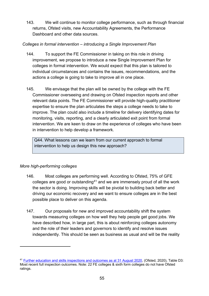143. We will continue to monitor college performance, such as through financial returns, Ofsted visits, new Accountability Agreements, the Performance Dashboard and other data sources.

#### *Colleges in formal intervention – introducing a Single Improvement Plan*

- 144. To support the FE Commissioner in taking on this role in driving improvement, we propose to introduce a new Single Improvement Plan for colleges in formal intervention. We would expect that this plan is tailored to individual circumstances and contains the issues, recommendations, and the actions a college is going to take to improve all in one place.
- 145. We envisage that the plan will be owned by the college with the FE Commissioner overseeing and drawing on Ofsted inspection reports and other relevant data points. The FE Commissioner will provide high-quality practitioner expertise to ensure the plan articulates the steps a college needs to take to improve. The plan could also include a timeline for delivery identifying dates for monitoring, visits, reporting, and a clearly articulated exit point from formal intervention. We are keen to draw on the experience of colleges who have been in intervention to help develop a framework.

Q44. What lessons can we learn from our current approach to formal intervention to help us design this new approach?

#### *More high-performing colleges*

- 146. Most colleges are performing well. According to Ofsted, 75% of GFE colleges are good or outstanding<sup>[41](#page-54-0)</sup> and we are immensely proud of all the work the sector is doing. Improving skills will be pivotal to building back better and driving our economic recovery and we want to ensure colleges are in the best possible place to deliver on this agenda.
- 147. Our proposals for new and improved accountability shift the system towards measuring colleges on how well they help people get good jobs. We have described how, in large part, this is about reinforcing colleges autonomy and the role of their leaders and governors to identify and resolve issues independently. This should be seen as business as usual and will be the reality

<span id="page-54-0"></span><sup>41</sup> [Further education and skills inspections and outcomes as at 31 August 2020,](https://www.gov.uk/government/statistics/further-education-and-skills-inspections-and-outcomes-as-at-31-august-2020) (Ofsted, 2020), Table D3: Most recent full inspection outcomes. Note: 22 FE colleges & sixth form colleges do not have Ofsted ratings.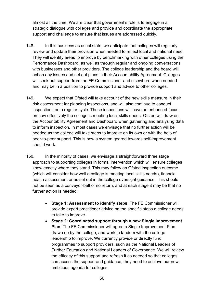almost all the time. We are clear that government's role is to engage in a strategic dialogue with colleges and provide and coordinate the appropriate support and challenge to ensure that issues are addressed quickly.

- 148. In this business as usual state, we anticipate that colleges will regularly review and update their provision when needed to reflect local and national need. They will identify areas to improve by benchmarking with other colleges using the Performance Dashboard, as well as through regular and ongoing conversations with businesses and other providers. The college leadership and the board will act on any issues and set out plans in their Accountability Agreement. Colleges will seek out support from the FE Commissioner and elsewhere when needed and may be in a position to provide support and advice to other colleges.
- 149. We expect that Ofsted will take account of the new skills measure in their risk assessment for planning inspections, and will also continue to conduct inspections on a regular cycle. These inspections will have an enhanced focus on how effectively the college is meeting local skills needs. Ofsted will draw on the Accountability Agreement and Dashboard when gathering and analysing data to inform inspection. In most cases we envisage that no further action will be needed as the college will take steps to improve on its own or with the help of peer-to-peer support. This is how a system geared towards self-improvement should work.
- 150. In the minority of cases, we envisage a straightforward three stage approach to supporting colleges in formal intervention which will ensure colleges know exactly where they stand. This may follow an Ofsted inspection outcome (which will consider how well a college is meeting local skills needs), financial health assessment or as set out in the college oversight guidance. This should not be seen as a conveyor-belt of no return, and at each stage it may be that no further action is needed:
	- **Stage 1: Assessment to identify steps**. The FE Commissioner will provide expert practitioner advice on the specific steps a college needs to take to improve.
	- **Stage 2: Coordinated support through a new Single Improvement Plan**. The FE Commissioner will agree a Single Improvement Plan drawn up by the college, and work in tandem with the college leadership to improve. We currently provide or directly fund programmes to support providers, such as the National Leaders of Further Education and National Leaders of Governance. We will review the efficacy of this support and refresh it as needed so that colleges can access the support and guidance, they need to achieve our new, ambitious agenda for colleges.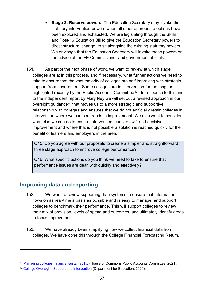- **Stage 3: Reserve powers**. The Education Secretary may invoke their statutory intervention powers when all other appropriate options have been explored and exhausted. We are legislating through the Skills and Post-16 Education Bill to give the Education Secretary powers to direct structural change, to sit alongside the existing statutory powers. We envisage that the Education Secretary will invoke these powers on the advice of the FE Commissioner and government officials.
- 151. As part of the next phase of work, we want to review at which stage colleges are at in this process, and if necessary, what further actions we need to take to ensure that the vast majority of colleges are self-improving with strategic support from government. Some colleges are in intervention for too long, as highlighted recently by the Public Accounts Committee<sup>42</sup>. In response to this and to the independent report by Mary Ney we will set out a revised approach in our oversight guidance<sup>[43](#page-56-2)</sup> that moves us to a more strategic and supportive relationship with colleges and ensures that we do not artificially retain colleges in intervention where we can see trends in improvement. We also want to consider what else we can do to ensure intervention leads to swift and decisive improvement and where that is not possible a solution is reached quickly for the benefit of learners and employers in the area.

Q45: Do you agree with our proposals to create a simpler and straightforward three stage approach to improve college performance?

Q46: What specific actions do you think we need to take to ensure that performance issues are dealt with quickly and effectively?

# <span id="page-56-0"></span>**Improving data and reporting**

- 152. We want to review supporting data systems to ensure that information flows on as real-time a basis as possible and is easy to manage, and support colleges to benchmark their performance. This will support colleges to review their mix of provision, levels of spend and outcomes, and ultimately identify areas to focus improvement.
- 153. We have already been simplifying how we collect financial data from colleges. We have done this through the College Financial Forecasting Return,

<span id="page-56-1"></span><sup>&</sup>lt;sup>42</sup> [Managing colleges' financial sustainability](https://committees.parliament.uk/publications/4434/documents/45098/default/) (House of Commons Public Accounts Committee, 2021).

<span id="page-56-2"></span><sup>&</sup>lt;sup>43</sup> [College Oversight: Support and Intervention \(](https://www.gov.uk/government/publications/college-oversight-support-and-intervention)Department for Education, 2020).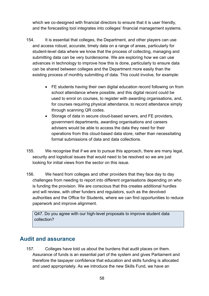which we co-designed with financial directors to ensure that it is user friendly, and the forecasting tool integrates into colleges' financial management systems.

- 154. It is essential that colleges, the Department, and other players can use and access robust, accurate, timely data on a range of areas, particularly for student-level data where we know that the process of collecting, managing and submitting data can be very burdensome. We are exploring how we can use advances in technology to improve how this is done, particularly to ensure data can be shared between colleges and the Department more easily than the existing process of monthly submitting of data. This could involve, for example:
	- FE students having their own digital education record following on from school attendance where possible, and this digital record could be used to enrol on courses, to register with awarding organisations, and, for courses requiring physical attendance, to record attendance simply through scanning QR codes.
	- Storage of data in secure cloud-based servers, and FE providers, government departments, awarding organisations and careers advisers would be able to access the data they need for their operations from this cloud-based data store, rather than necessitating formal submissions of data and data collections.
- 155. We recognise that if we are to pursue this approach, there are many legal, security and logistical issues that would need to be resolved so we are just looking for initial views from the sector on this issue.
- 156. We heard from colleges and other providers that they face day to day challenges from needing to report into different organisations depending on who is funding the provision. We are conscious that this creates additional hurdles and will review, with other funders and regulators, such as the devolved authorities and the Office for Students, where we can find opportunities to reduce paperwork and improve alignment.

Q47. Do you agree with our high-level proposals to improve student data collection?

# <span id="page-57-0"></span>**Audit and assurance**

157. Colleges have told us about the burdens that audit places on them. Assurance of funds is an essential part of the system and gives Parliament and therefore the taxpayer confidence that education and skills funding is allocated and used appropriately. As we introduce the new Skills Fund, we have an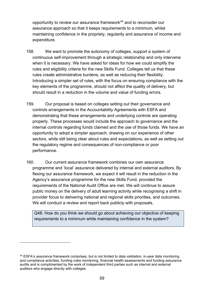opportunity to review our assurance framework<sup>[44](#page-58-0)</sup> and to reconsider our assurance approach so that it keeps requirements to a minimum, whilst maintaining confidence in the propriety, regularity and assurance of income and expenditure.

- 158. We want to promote the autonomy of colleges, support a system of continuous self-improvement through a strategic relationship and only intervene when it is necessary. We have asked for ideas for how we could simplify the rules and eligibility criteria for the new Skills Fund. Colleges tell us that these rules create administrative burdens, as well as reducing their flexibility. Introducing a simpler set of rules, with the focus on ensuring compliance with the key elements of the programme, should not affect the quality of delivery, but should result in a reduction in the volume and value of funding errors.
- 159. Our proposal is based on colleges setting out their governance and controls arrangements in the Accountability Agreements with ESFA and demonstrating that these arrangements and underlying controls are operating properly. These processes would include the approach to governance and the internal controls regarding funds claimed and the use of those funds. We have an opportunity to adopt a simpler approach, drawing on our experience of other sectors, while still being clear about rules and expectations, as well as setting out the regulatory regime and consequences of non-compliance or poor performance.
- 160. Our current assurance framework combines our own assurance programme and 'local' assurance delivered by internal and external auditors. By flexing our assurance framework, we expect it will result in the reduction in the Agency's assurance programme for the new Skills Fund, provided the requirements of the National Audit Office are met. We will continue to assure public money on the delivery of adult learning activity while recognising a shift in provider focus to delivering national and regional skills priorities, and outcomes. We will conduct a review and report back publicly with proposals.

Q48. How do you think we should go about achieving our objective of keeping requirements to a minimum while maintaining confidence in the system?

<span id="page-58-0"></span><sup>44</sup> ESFA's assurance framework comprises, but is not limited to data validation, in-year data monitoring and compliance activities, funding rules monitoring, financial health assessments and funding assurance audits and is complimented by the work of independent third parties such as internal and external auditors who engage directly with colleges.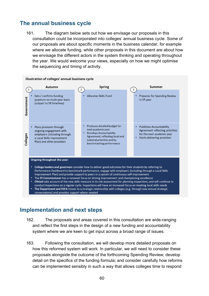# <span id="page-59-0"></span>**The annual business cycle**

161. The diagram below sets out how we envisage our proposals in this consultation could be incorporated into colleges' annual business cycle. Some of our proposals are about specific moments in the business calendar, for example where we allocate funding, while other proposals in this document are about how we envisage the different actors in the system thinking and operating throughout the year. We would welcome your views, especially on how we might optimise the sequencing and timing of activity.

<span id="page-59-1"></span>

| Illustration of colleges' annual business cycle                                                                                                                                                                                                                                                                                                                                                                                                                                                                                                                                                                                                                                                      |                                                                                                                                               |   |                                                                                                                                                                                                |  |                                                                                                                                                   |
|------------------------------------------------------------------------------------------------------------------------------------------------------------------------------------------------------------------------------------------------------------------------------------------------------------------------------------------------------------------------------------------------------------------------------------------------------------------------------------------------------------------------------------------------------------------------------------------------------------------------------------------------------------------------------------------------------|-----------------------------------------------------------------------------------------------------------------------------------------------|---|------------------------------------------------------------------------------------------------------------------------------------------------------------------------------------------------|--|---------------------------------------------------------------------------------------------------------------------------------------------------|
| 1                                                                                                                                                                                                                                                                                                                                                                                                                                                                                                                                                                                                                                                                                                    | Autumn                                                                                                                                        | 2 | <b>Spring</b>                                                                                                                                                                                  |  | <b>Summer</b><br>3                                                                                                                                |
| Government                                                                                                                                                                                                                                                                                                                                                                                                                                                                                                                                                                                                                                                                                           | Sets / confirms funding<br>quantum on multi-year basis<br>(subject to SR timelines)                                                           |   | <b>Allocates Skills Fund</b>                                                                                                                                                                   |  | <b>Prepares for Spending Review</b><br>in SR year                                                                                                 |
| Colleges                                                                                                                                                                                                                                                                                                                                                                                                                                                                                                                                                                                                                                                                                             | Plans provision through<br>ongoing engagement with<br>employers (including through<br>a Local Skills Improvement<br>Plan) and other providers |   | Produces detailed budget for<br>$\bullet$<br>next academic year<br><b>Develops Accountability</b><br>Agreement, reflecting local and<br>national priorities and by<br>benchmarking performance |  | <b>Publishes Accountability</b><br>٠<br>Agreement reflecting priorities<br>for the next academic year<br>Starts delivering provision<br>$\bullet$ |
| Ongoing throughout the year:<br>College leaders and governors consider how to deliver good outcomes for their students by referring to<br>٠.<br>Performance Dashboard to benchmark performance, engage with employers (including through a Local Skills<br>Improvement Plan) and provide support to peers in a system of continuous self-improvement<br>The FE Commissioner has a renewed focus on driving improvement and championing excellence<br>٠<br>Ofsted take account of the new skills measure in its risk assessment for planning inspections, and will continue to<br>٠<br>conduct inspections on a regular cycle. Inspections will have an increased focus on meeting local skills needs |                                                                                                                                               |   |                                                                                                                                                                                                |  |                                                                                                                                                   |
| The Department and ESFA moves to a strategic relationship with colleges (e.g. through new annual strategic<br>٠<br>conversations) and provides support where needed                                                                                                                                                                                                                                                                                                                                                                                                                                                                                                                                  |                                                                                                                                               |   |                                                                                                                                                                                                |  |                                                                                                                                                   |

## **Implementation and next steps**

- 162. The proposals and areas covered in this consultation are wide-ranging and reflect the first steps in the design of a new funding and accountability system where we are keen to get input across a broad range of issues.
- 163. Following the consultation, we will develop more detailed proposals on how this reformed system will work. In particular, we will need to consider these proposals alongside the outcome of the forthcoming Spending Review; develop detail on the specifics of the funding formula; and consider carefully how reforms can be implemented sensibly in such a way that allows colleges time to respond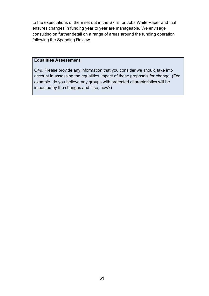to the expectations of them set out in the Skills for Jobs White Paper and that ensures changes in funding year to year are manageable. We envisage consulting on further detail on a range of areas around the funding operation following the Spending Review.

#### **Equalities Assessment**

Q49. Please provide any information that you consider we should take into account in assessing the equalities impact of these proposals for change. (For example, do you believe any groups with protected characteristics will be impacted by the changes and if so, how?)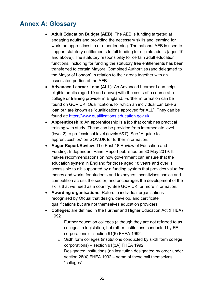# <span id="page-61-0"></span>**Annex A: Glossary**

- **Adult Education Budget (AEB)**: The AEB is funding targeted at engaging adults and providing the necessary skills and learning for work, an apprenticeship or other learning. The national AEB is used to support statutory entitlements to full funding for eligible adults (aged 19 and above). The statutory responsibility for certain adult education functions, including for funding the statutory free entitlements has been transferred to certain Mayoral Combined Authorities (and delegated to the Mayor of London) in relation to their areas together with an associated portion of the AEB.
- **Advanced Learner Loan (ALL)**: An Advanced Learner Loan helps eligible adults (aged 19 and above) with the costs of a course at a college or training provider in England. Further information can be found on GOV.UK. Qualifications for which an individual can take a loan out are known as "qualifications approved for ALL". They can be found at: [https://www.qualifications.education.gov.uk.](https://www.qualifications.education.gov.uk/)
- **Apprenticeship**: An apprenticeship is a job that combines practical training with study. These can be provided from intermediate level (level 2) to professional level (levels 6&7). See "A guide to apprenticeships" on GOV.UK for further information.
- **Augar Report/Review**: The Post-18 Review of Education and Funding: Independent Panel Report published on 30 May 2019. It makes recommendations on how government can ensure that the education system in England for those aged 18 years and over is: accessible to all; supported by a funding system that provides value for money and works for students and taxpayers; incentivises choice and competition across the sector; and encourages the development of the skills that we need as a country. See GOV.UK for more information.
- **Awarding organisations**: Refers to individual organisations recognised by Ofqual that design, develop, and certificate qualifications but are not themselves education providers.
- **Colleges**: are defined in the Further and Higher Education Act (FHEA) 1992
	- o Further education colleges (although they are not referred to as colleges in legislation, but rather institutions conducted by FE corporations) – section 91(6) FHEA 1992.
	- o Sixth form colleges (institutions conducted by sixth form college corporations) – section 91(3A) FHEA 1992.
	- o Designated institutions (an institution designated by order under section 28(4) FHEA 1992 – some of these call themselves "colleges".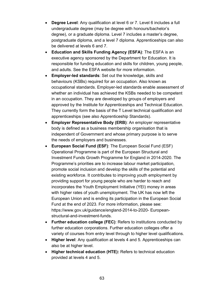- **Degree Level**: Any qualification at level 6 or 7. Level 6 includes a full undergraduate degree (may be degree with honours/bachelor's degree), or a graduate diploma. Level 7 includes a master's degree, postgraduate diploma, and a level 7 diploma. Apprenticeships can also be delivered at levels 6 and 7.
- **Education and Skills Funding Agency (ESFA)**: The ESFA is an executive agency sponsored by the Department for Education. It is responsible for funding education and skills for children, young people, and adults. See the ESFA website for more information.
- **Employer-led standards**: Set out the knowledge, skills and behaviours (KSBs) required for an occupation. Also known as occupational standards. Employer-led standards enable assessment of whether an individual has achieved the KSBs needed to be competent in an occupation. They are developed by groups of employers and approved by the Institute for Apprenticeships and Technical Education. They currently form the basis of the T Level technical qualification and apprenticeships (see also Apprenticeship Standards).
- **Employer Representative Body (ERB)**: An employer representative body is defined as a business membership organisation that is independent of Government and whose primary purpose is to serve the needs of employers and businesses.
- **European Social Fund (ESF)**: The European Social Fund (ESF) Operational Programme is part of the European Structural and Investment Funds Growth Programme for England in 2014-2020. The Programme's priorities are to increase labour market participation, promote social inclusion and develop the skills of the potential and existing workforce. It contributes to improving youth employment by providing support for young people who are harder to reach and incorporates the Youth Employment Initiative (YEI) money in areas with higher rates of youth unemployment. The UK has now left the European Union and is ending its participation in the European Social Fund at the end of 2023. For more information, please see: https://www.gov.uk/guidance/england-2014-to-2020- Europeanstructural-and-investment-funds.
- **Further education college (FEC)**: Refers to institutions conducted by further education corporations. Further education colleges offer a variety of courses from entry level through to higher level qualifications.
- **Higher level**: Any qualification at levels 4 and 5. Apprenticeships can also be at higher level.
- **Higher technical education (HTE):** Refers to technical education provided at levels 4 and 5.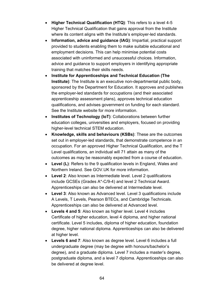- **Higher Technical Qualification (HTQ)**: This refers to a level 4-5 Higher Technical Qualification that gains approval from the Institute where its content aligns with the Institute's employer-led standards.
- **Information, advice and guidance (IAG)**: Impartial, practical support provided to students enabling them to make suitable educational and employment decisions. This can help minimise potential costs associated with uninformed and unsuccessful choices. Information, advice and guidance to support employers in identifying appropriate training that matches their skills needs.
- **Institute for Apprenticeships and Technical Education (The Institute)**: The Institute is an executive non-departmental public body, sponsored by the Department for Education. It approves and publishes the employer-led standards for occupations (and their associated apprenticeship assessment plans), approves technical education qualifications, and advises government on funding for each standard. See the Institute website for more information.
- **Institutes of Technology (IoT)**: Collaborations between further education colleges, universities and employers, focused on providing higher-level technical STEM education.
- **Knowledge, skills and behaviours (KSBs)**: These are the outcomes set out in employer-led standards, that demonstrate competence in an occupation. For an approved Higher Technical Qualification, and the T Level qualifications, an individual will 71 attain as many of the outcomes as may be reasonably expected from a course of education.
- **Level (L)**: Refers to the 9 qualification levels in England, Wales and Northern Ireland. See GOV.UK for more information.
- **Level 2**: Also known as Intermediate level. Level 2 qualifications include GCSEs (Grades A\*-C/9-4) and level 2 Technical Award. Apprenticeships can also be delivered at Intermediate level.
- **Level 3**: Also known as Advanced level. Level 3 qualifications include A Levels, T Levels, Pearson BTECs, and Cambridge Technicals. Apprenticeships can also be delivered at Advanced level.
- **Levels 4 and 5**: Also known as higher level. Level 4 includes Certificate of higher education, level 4 diploma, and higher national certificate. Level 5 includes, diploma of higher education, foundation degree, higher national diploma. Apprenticeships can also be delivered at higher level.
- **Levels 6 and 7**: Also known as degree level. Level 6 includes a full undergraduate degree (may be degree with honours/bachelor's degree), and a graduate diploma. Level 7 includes a master's degree, postgraduate diploma, and a level 7 diploma. Apprenticeships can also be delivered at degree level.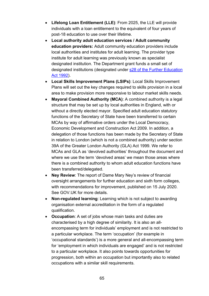- **Lifelong Loan Entitlement (LLE)**: From 2025, the LLE will provide individuals with a loan entitlement to the equivalent of four years of post-18 education to use over their lifetime.
- **Local authority adult education services / Adult community education providers:** Adult community education providers include local authorities and institutes for adult learning. The provider type institute for adult learning was previously known as specialist designated institution. The Department grant funds a small set of designated institutions (designated under [s28 of the Further Education](https://www.legislation.gov.uk/ukpga/1992/13/section/28)  [Act 1992\)](https://www.legislation.gov.uk/ukpga/1992/13/section/28).
- **Local Skills Improvement Plans (LSIPs)**: Local Skills Improvement Plans will set out the key changes required to skills provision in a local area to make provision more responsive to labour market skills needs.
- **Mayoral Combined Authority (MCA)**: A combined authority is a legal structure that may be set up by local authorities in England, with or without a directly elected mayor. Specified adult education statutory functions of the Secretary of State have been transferred to certain MCAs by way of affirmative orders under the Local Democracy, Economic Development and Construction Act 2009. In addition, a delegation of those functions has been made by the Secretary of State in relation to London (which is not a combined authority) under section 39A of the Greater London Authority (GLA) Act 1999. We refer to MCAs and GLA as 'devolved authorities' throughout the document and where we use the term 'devolved areas' we mean those areas where there is a combined authority to whom adult education functions have been transferred/delegated.
- **Ney Review**: The report of Dame Mary Ney's review of financial oversight arrangements for further education and sixth form colleges, with recommendations for improvement, published on 15 July 2020. See GOV.UK for more details.
- **Non-regulated learning**: Learning which is not subject to awarding organisation external accreditation in the form of a regulated qualification.
- **Occupation**: A set of jobs whose main tasks and duties are characterised by a high degree of similarity. It is also an allencompassing term for individuals' employment and is not restricted to a particular workplace. The term 'occupation' (for example in 'occupational standards') is a more general and all-encompassing term for 'employment in which individuals are engaged' and is not restricted to a particular workplace. It also points towards opportunities for progression, both within an occupation but importantly also to related occupations with a similar skill requirements.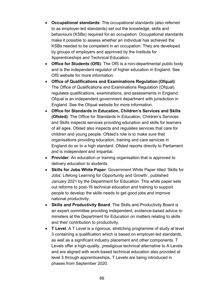- **Occupational standards**: The occupational standards (also referred to as employer-led standards) set out the knowledge, skills and behaviours (KSBs) required for an occupation. Occupational standards make it possible to assess whether an individual has achieved the KSBs needed to be competent in an occupation. They are developed by groups of employers and approved by the Institute for Apprenticeships and Technical Education.
- **Office for Students (OfS)**: The OfS is a non-departmental public body and is the independent regulator of higher education in England. See OfS website for more information.
- **Office of Qualifications and Examinations Regulation (Ofqual)**: The Office of Qualifications and Examinations Regulation (Ofqual) regulates qualifications, examinations, and assessments in England. Ofqual is an independent government department with jurisdiction in England. See the Ofqual website for more information.
- **Office for Standards in Education, Children's Services and Skills (Ofsted)**: The Office for Standards in Education, Children's Services and Skills inspects services providing education and skills for learners of all ages. Ofsted also inspects and regulates services that care for children and young people. Ofsted's role is to make sure that organisations providing education, training and care services in England do so to a high standard. Ofsted reports directly to Parliament and is independent and impartial.
- **Provider**: An education or training organisation that is approved to delivery education to students.
- **Skills for Jobs White Paper**: Government White Paper titled 'Skills for Jobs: Lifelong Learning for Opportunity and Growth', published January 2021 by the Department for Education. This white paper sets out reforms to post-16 technical education and training to support people to develop the skills needs to get good jobs and improve national productivity.
- **Skills and Productivity Board**: The Skills and Productivity Board is an expert committee providing independent, evidence-based advice to ministers at the Department for Education on matters relating to skills and their contribution to productivity.
- **T Level**: A T Level is a rigorous, stretching programme of study at level 3 containing a qualification which is based on employer-led standards, as well as a significant industry placement and other components. T Levels offer a high-quality, prestigious technical alternative to A Levels and are aligned with work-based technical education also provided at level 3 through apprenticeships. T Levels are being introduced in phases from September 2020.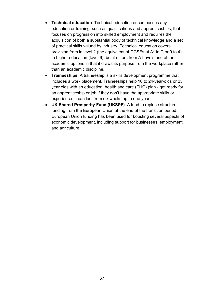- **Technical education**: Technical education encompasses any education or training, such as qualifications and apprenticeships, that focuses on progression into skilled employment and requires the acquisition of both a substantial body of technical knowledge and a set of practical skills valued by industry. Technical education covers provision from in level 2 (the equivalent of GCSEs at A\* to C or 9 to 4) to higher education (level 6), but it differs from A Levels and other academic options in that it draws its purpose from the workplace rather than an academic discipline.
- **Traineeships**: A traineeship is a skills development programme that includes a work placement. Traineeships help 16 to 24-year-olds or 25 year olds with an education, health and care (EHC) plan - get ready for an apprenticeship or job if they don't have the appropriate skills or experience. It can last from six weeks up to one year.
- **UK Shared Prosperity Fund (UKSPF)**: A fund to replace structural funding from the European Union at the end of the transition period. European Union funding has been used for boosting several aspects of economic development, including support for businesses, employment and agriculture.